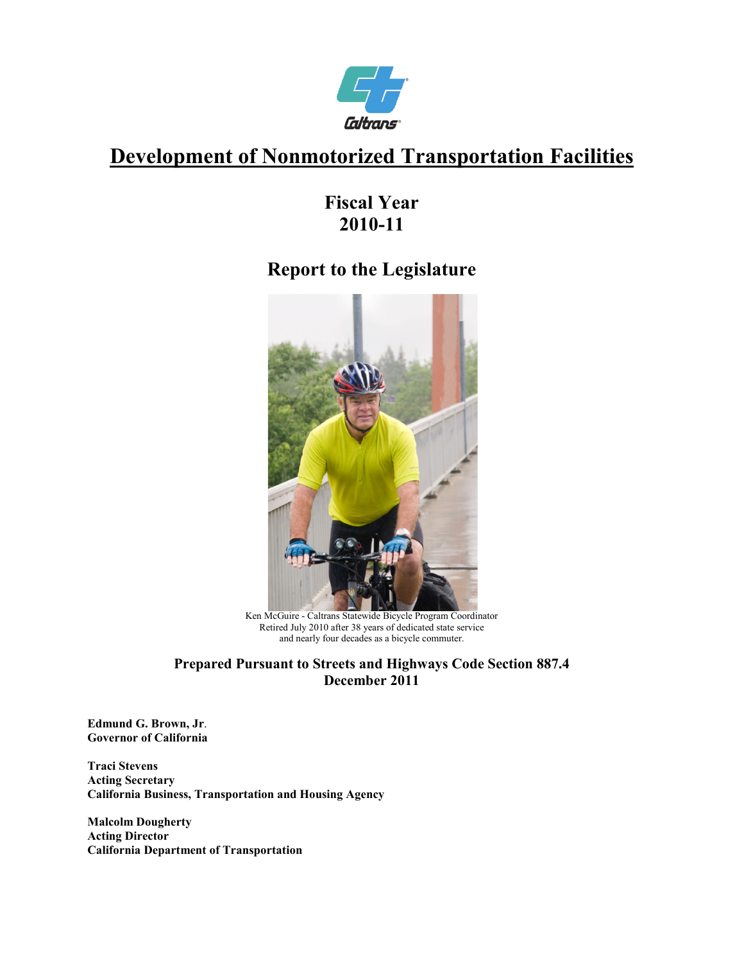

# **Development of Nonmotorized Transportation Facilities**

# **Fiscal Year 2010-11**

# **Report to the Legislature**



Ken McGuire - Caltrans Statewide Bicycle Program Coordinator Retired July 2010 after 38 years of dedicated state service and nearly four decades as a bicycle commuter.

#### **Prepared Pursuant to Streets and Highways Code Section 887.4 December 2011**

**Edmund G. Brown, Jr**. **Governor of California** 

**Traci Stevens Acting Secretary California Business, Transportation and Housing Agency** 

<span id="page-0-0"></span>**Malcolm Dougherty Acting Director California Department of Transportation**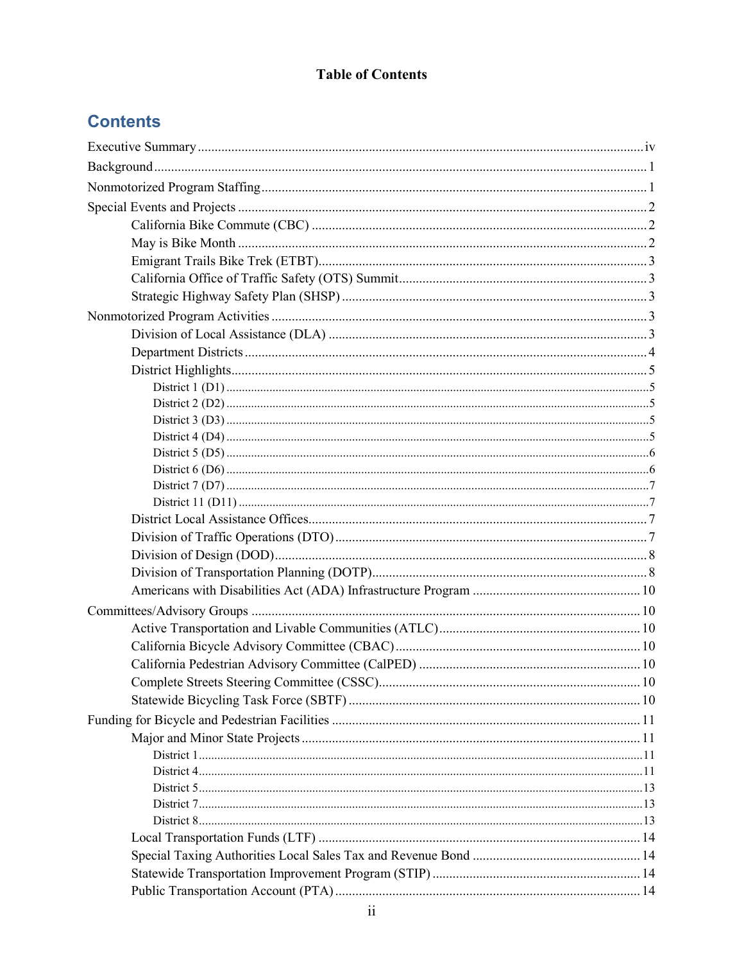### **Table of Contents**

# **Contents**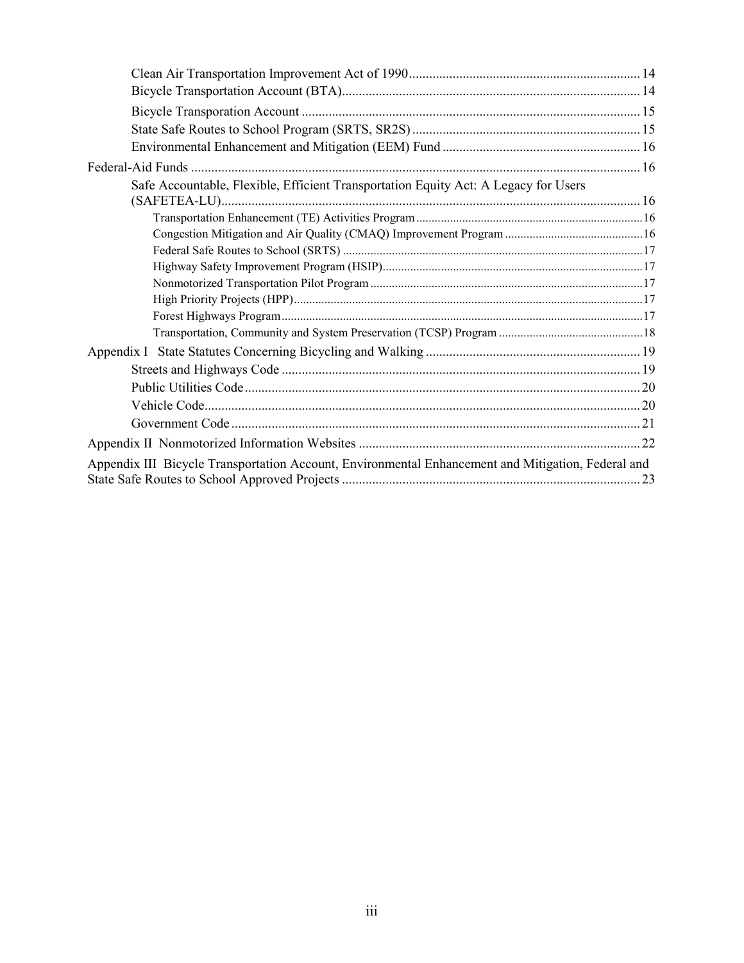| Safe Accountable, Flexible, Efficient Transportation Equity Act: A Legacy for Users                |  |
|----------------------------------------------------------------------------------------------------|--|
|                                                                                                    |  |
|                                                                                                    |  |
|                                                                                                    |  |
|                                                                                                    |  |
|                                                                                                    |  |
|                                                                                                    |  |
|                                                                                                    |  |
|                                                                                                    |  |
|                                                                                                    |  |
|                                                                                                    |  |
|                                                                                                    |  |
|                                                                                                    |  |
|                                                                                                    |  |
|                                                                                                    |  |
| Appendix III Bicycle Transportation Account, Environmental Enhancement and Mitigation, Federal and |  |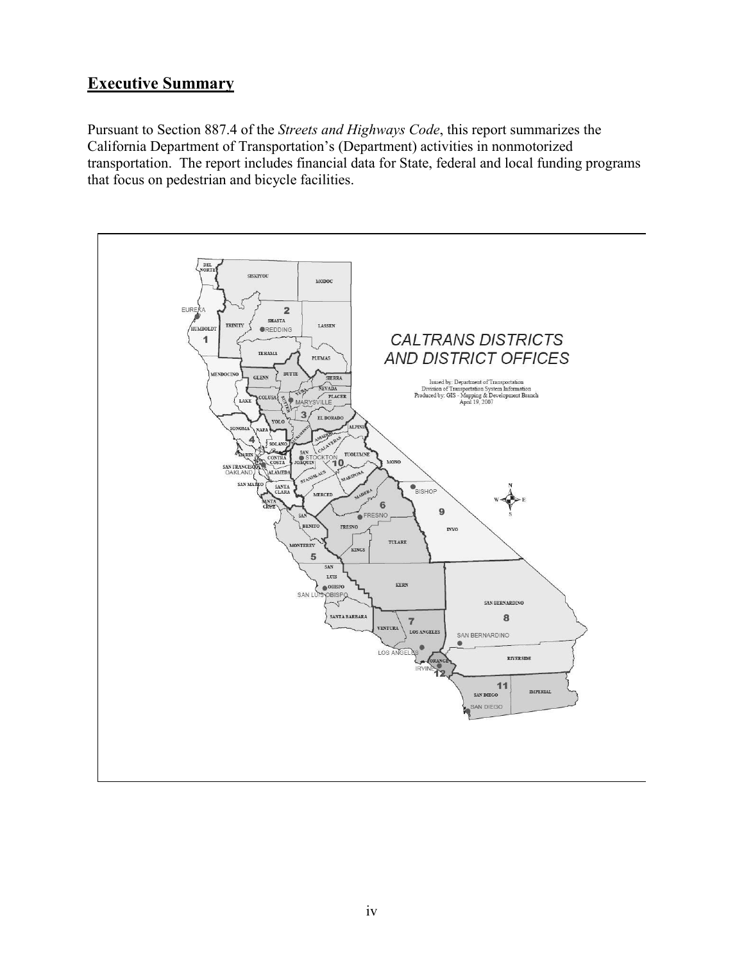# <span id="page-3-0"></span>**Executive Summary**

Pursuant to Section 887.4 of the *Streets and Highways Code*, this report summarizes the California Department of Transportation's (Department) activities in nonmotorized transportation. The report includes financial data for State, federal and local funding programs that focus on pedestrian and bicycle facilities.

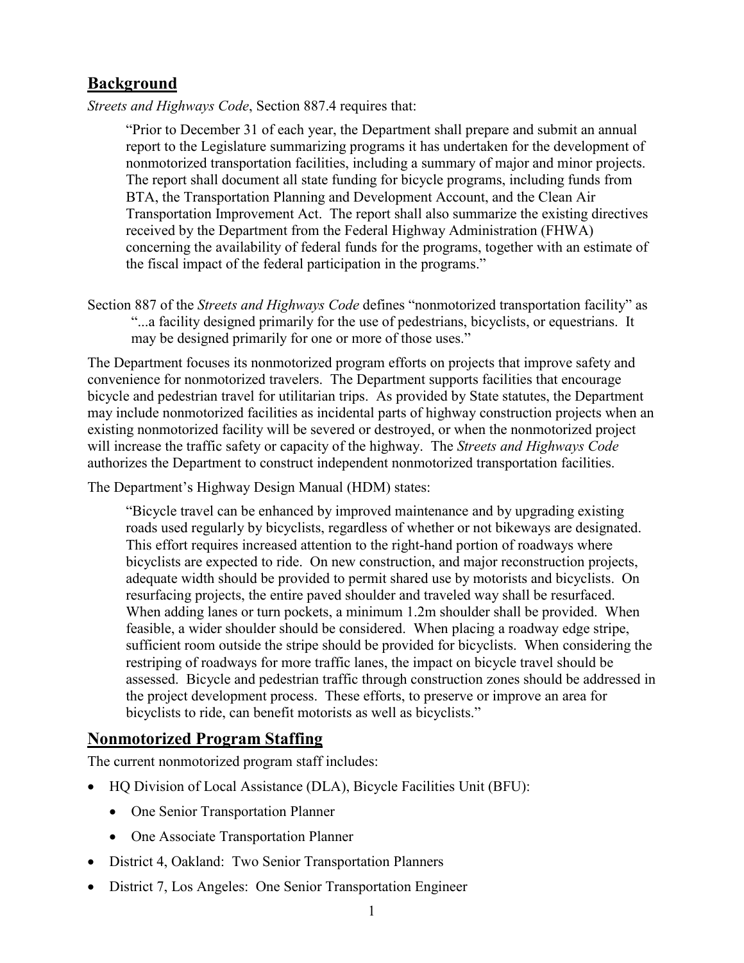## <span id="page-4-0"></span>**Background**

*Streets and Highways Code*, Section 887.4 requires that:

 report to the Legislature summarizing programs it has undertaken for the development of The report shall document all state funding for bicycle programs, including funds from concerning the availability of federal funds for the programs, together with an estimate of "Prior to December 31 of each year, the Department shall prepare and submit an annual nonmotorized transportation facilities, including a summary of major and minor projects. BTA, the Transportation Planning and Development Account, and the Clean Air Transportation Improvement Act. The report shall also summarize the existing directives received by the Department from the Federal Highway Administration (FHWA) the fiscal impact of the federal participation in the programs."

 may be designed primarily for one or more of those uses." Section 887 of the *Streets and Highways Code* defines "nonmotorized transportation facility" as "...a facility designed primarily for the use of pedestrians, bicyclists, or equestrians. It

 convenience for nonmotorized travelers. The Department supports facilities that encourage bicycle and pedestrian travel for utilitarian trips. As provided by State statutes, the Department will increase the traffic safety or capacity of the highway. The *Streets and Highways Code*  The Department focuses its nonmotorized program efforts on projects that improve safety and may include nonmotorized facilities as incidental parts of highway construction projects when an existing nonmotorized facility will be severed or destroyed, or when the nonmotorized project authorizes the Department to construct independent nonmotorized transportation facilities.

The Department's Highway Design Manual (HDM) states:

 feasible, a wider shoulder should be considered. When placing a roadway edge stripe, the project development process. These efforts, to preserve or improve an area for "Bicycle travel can be enhanced by improved maintenance and by upgrading existing roads used regularly by bicyclists, regardless of whether or not bikeways are designated. This effort requires increased attention to the right-hand portion of roadways where bicyclists are expected to ride. On new construction, and major reconstruction projects, adequate width should be provided to permit shared use by motorists and bicyclists. On resurfacing projects, the entire paved shoulder and traveled way shall be resurfaced. When adding lanes or turn pockets, a minimum 1.2m shoulder shall be provided. When sufficient room outside the stripe should be provided for bicyclists. When considering the restriping of roadways for more traffic lanes, the impact on bicycle travel should be assessed. Bicycle and pedestrian traffic through construction zones should be addressed in bicyclists to ride, can benefit motorists as well as bicyclists."

### <span id="page-4-1"></span>**Nonmotorized Program Staffing**

The current nonmotorized program staff includes:

- • HQ Division of Local Assistance (DLA), Bicycle Facilities Unit (BFU):
	- One Senior Transportation Planner
	- One Associate Transportation Planner
- District 4, Oakland: Two Senior Transportation Planners
- District 7, Los Angeles: One Senior Transportation Engineer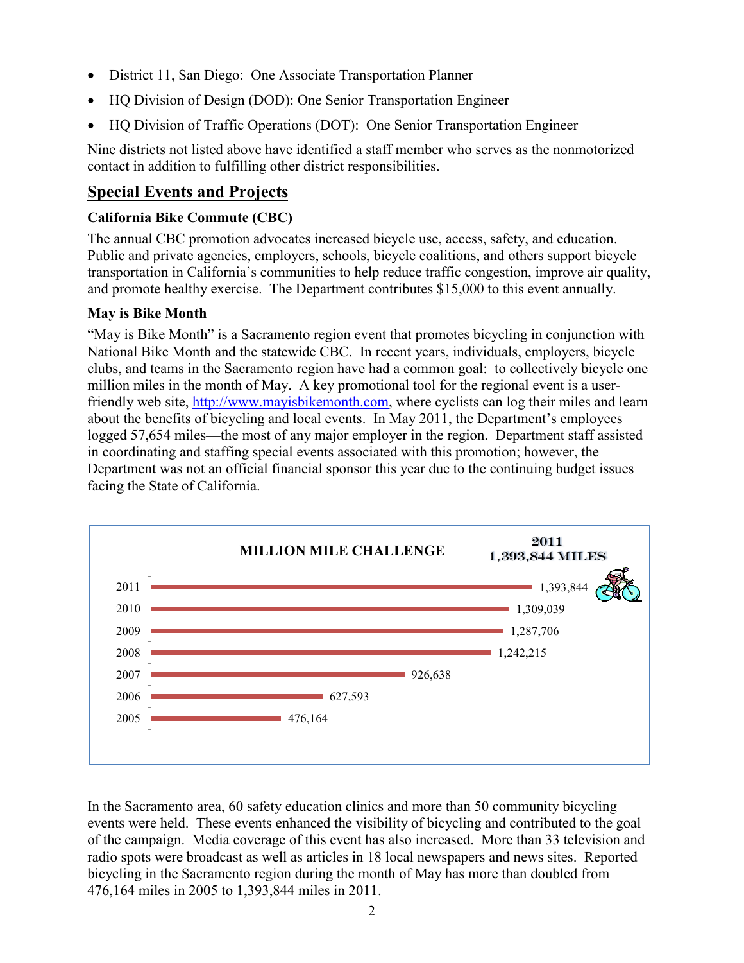- District 11, San Diego: One Associate Transportation Planner
- HQ Division of Design (DOD): One Senior Transportation Engineer
- HQ Division of Traffic Operations (DOT): One Senior Transportation Engineer

Nine districts not listed above have identified a staff member who serves as the nonmotorized contact in addition to fulfilling other district responsibilities.

## <span id="page-5-0"></span>**Special Events and Projects**

#### <span id="page-5-1"></span> **California Bike Commute (CBC)**

 The annual CBC promotion advocates increased bicycle use, access, safety, and education. and promote healthy exercise. The Department contributes \$15,000 to this event annually. Public and private agencies, employers, schools, bicycle coalitions, and others support bicycle transportation in California's communities to help reduce traffic congestion, improve air quality,

#### <span id="page-5-2"></span>**May is Bike Month**

 "May is Bike Month" is a Sacramento region event that promotes bicycling in conjunction with logged 57,654 miles—the most of any major employer in the region. Department staff assisted in coordinating and staffing special events associated with this promotion; however, the Department was not an official financial sponsor this year due to the continuing budget issues National Bike Month and the statewide CBC. In recent years, individuals, employers, bicycle clubs, and teams in the Sacramento region have had a common goal: to collectively bicycle one million miles in the month of May. A key promotional tool for the regional event is a userfriendly web site, [http://www.mayisbikemonth.com,](http://www.mayisbikemonth.com/) where cyclists can log their miles and learn about the benefits of bicycling and local events. In May 2011, the Department's employees facing the State of California.



 radio spots were broadcast as well as articles in 18 local newspapers and news sites. Reported In the Sacramento area, 60 safety education clinics and more than 50 community bicycling events were held. These events enhanced the visibility of bicycling and contributed to the goal of the campaign. Media coverage of this event has also increased. More than 33 television and bicycling in the Sacramento region during the month of May has more than doubled from 476,164 miles in 2005 to 1,393,844 miles in 2011.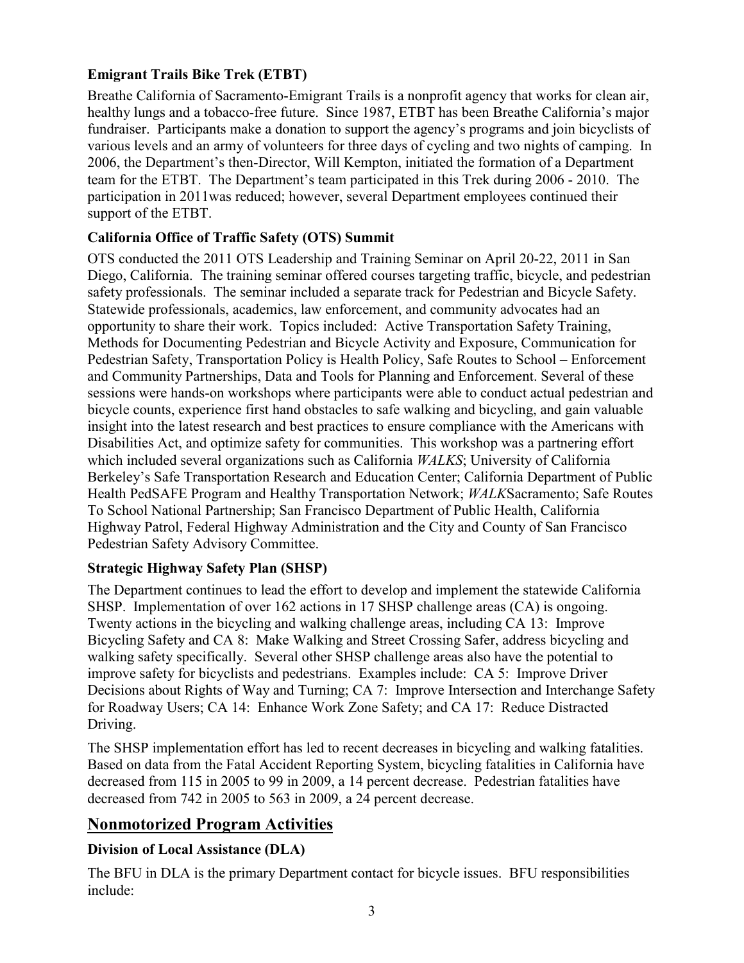#### <span id="page-6-0"></span> **Emigrant Trails Bike Trek (ETBT)**

 healthy lungs and a tobacco-free future. Since 1987, ETBT has been Breathe California's major fundraiser. Participants make a donation to support the agency's programs and join bicyclists of team for the ETBT. The Department's team participated in this Trek during 2006 - 2010. The participation in 2011was reduced; however, several Department employees continued their Breathe California of Sacramento-Emigrant Trails is a nonprofit agency that works for clean air, various levels and an army of volunteers for three days of cycling and two nights of camping. In 2006, the Department's then-Director, Will Kempton, initiated the formation of a Department support of the ETBT.

#### <span id="page-6-1"></span>**California Office of Traffic Safety (OTS) Summit**

safety professionals. The seminar included a separate track for Pedestrian and Bicycle Safety. safety professionals. The seminar included a separate track for Pedestrian and Bicycle Safety.<br>Statewide professionals, academics, law enforcement, and community advocates had an Pedestrian Safety, Transportation Policy is Health Policy, Safe Routes to School – Enforcement Disabilities Act, and optimize safety for communities. This workshop was a partnering effort OTS conducted the 2011 OTS Leadership and Training Seminar on April 20-22, 2011 in San Diego, California. The training seminar offered courses targeting traffic, bicycle, and pedestrian opportunity to share their work. Topics included: Active Transportation Safety Training, Methods for Documenting Pedestrian and Bicycle Activity and Exposure, Communication for and Community Partnerships, Data and Tools for Planning and Enforcement. Several of these sessions were hands-on workshops where participants were able to conduct actual pedestrian and bicycle counts, experience first hand obstacles to safe walking and bicycling, and gain valuable insight into the latest research and best practices to ensure compliance with the Americans with which included several organizations such as California *WALKS*; University of California Berkeley's Safe Transportation Research and Education Center; California Department of Public Health PedSAFE Program and Healthy Transportation Network; *WALK*Sacramento; Safe Routes To School National Partnership; San Francisco Department of Public Health, California Highway Patrol, Federal Highway Administration and the City and County of San Francisco Pedestrian Safety Advisory Committee.

#### <span id="page-6-2"></span> **Strategic Highway Safety Plan (SHSP)**

 The Department continues to lead the effort to develop and implement the statewide California SHSP. Implementation of over 162 actions in 17 SHSP challenge areas (CA) is ongoing. Twenty actions in the bicycling and walking challenge areas, including CA 13: Improve Bicycling Safety and CA 8: Make Walking and Street Crossing Safer, address bicycling and improve safety for bicyclists and pedestrians. Examples include: CA 5: Improve Driver walking safety specifically. Several other SHSP challenge areas also have the potential to Decisions about Rights of Way and Turning; CA 7: Improve Intersection and Interchange Safety for Roadway Users; CA 14: Enhance Work Zone Safety; and CA 17: Reduce Distracted Driving.

The SHSP implementation effort has led to recent decreases in bicycling and walking fatalities. Based on data from the Fatal Accident Reporting System, bicycling fatalities in California have decreased from 115 in 2005 to 99 in 2009, a 14 percent decrease. Pedestrian fatalities have decreased from 742 in 2005 to 563 in 2009, a 24 percent decrease.

## <span id="page-6-3"></span>**Nonmotorized Program Activities**

#### <span id="page-6-4"></span> **Division of Local Assistance (DLA)**

 The BFU in DLA is the primary Department contact for bicycle issues. BFU responsibilities include: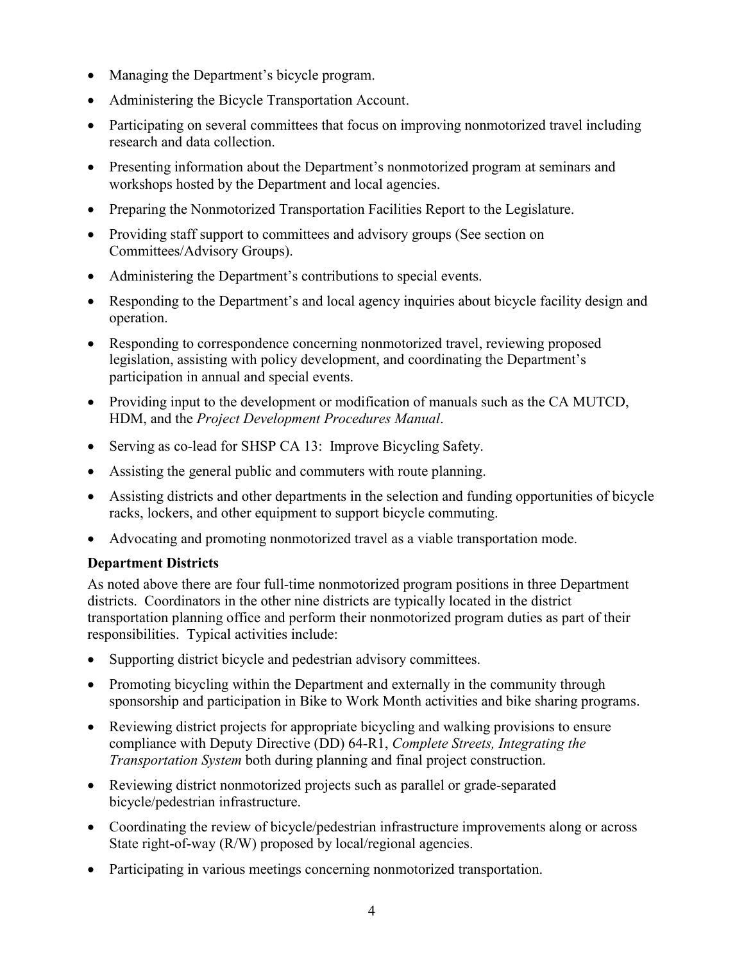- Managing the Department's bicycle program.
- Administering the Bicycle Transportation Account.
- • Participating on several committees that focus on improving nonmotorized travel including research and data collection.
- Presenting information about the Department's nonmotorized program at seminars and workshops hosted by the Department and local agencies.
- Preparing the Nonmotorized Transportation Facilities Report to the Legislature.
- • Providing staff support to committees and advisory groups (See section on Committees/Advisory Groups).
- Administering the Department's contributions to special events.
- Responding to the Department's and local agency inquiries about bicycle facility design and operation.
- • Responding to correspondence concerning nonmotorized travel, reviewing proposed legislation, assisting with policy development, and coordinating the Department's participation in annual and special events.
- • Providing input to the development or modification of manuals such as the CA MUTCD, HDM, and the *Project Development Procedures Manual*.
- Serving as co-lead for SHSP CA 13: Improve Bicycling Safety.
- Assisting the general public and commuters with route planning.
- Assisting districts and other departments in the selection and funding opportunities of bicycle racks, lockers, and other equipment to support bicycle commuting.
- Advocating and promoting nonmotorized travel as a viable transportation mode.

#### <span id="page-7-0"></span> **Department Districts**

 As noted above there are four full-time nonmotorized program positions in three Department districts. Coordinators in the other nine districts are typically located in the district transportation planning office and perform their nonmotorized program duties as part of their responsibilities. Typical activities include:

- Supporting district bicycle and pedestrian advisory committees.
- • Promoting bicycling within the Department and externally in the community through sponsorship and participation in Bike to Work Month activities and bike sharing programs.
- *Transportation System* both during planning and final project construction. • Reviewing district projects for appropriate bicycling and walking provisions to ensure compliance with Deputy Directive (DD) 64-R1, *Complete Streets, Integrating the*
- Reviewing district nonmotorized projects such as parallel or grade-separated bicycle/pedestrian infrastructure.
- • Coordinating the review of bicycle/pedestrian infrastructure improvements along or across State right-of-way (R/W) proposed by local/regional agencies.
- Participating in various meetings concerning nonmotorized transportation.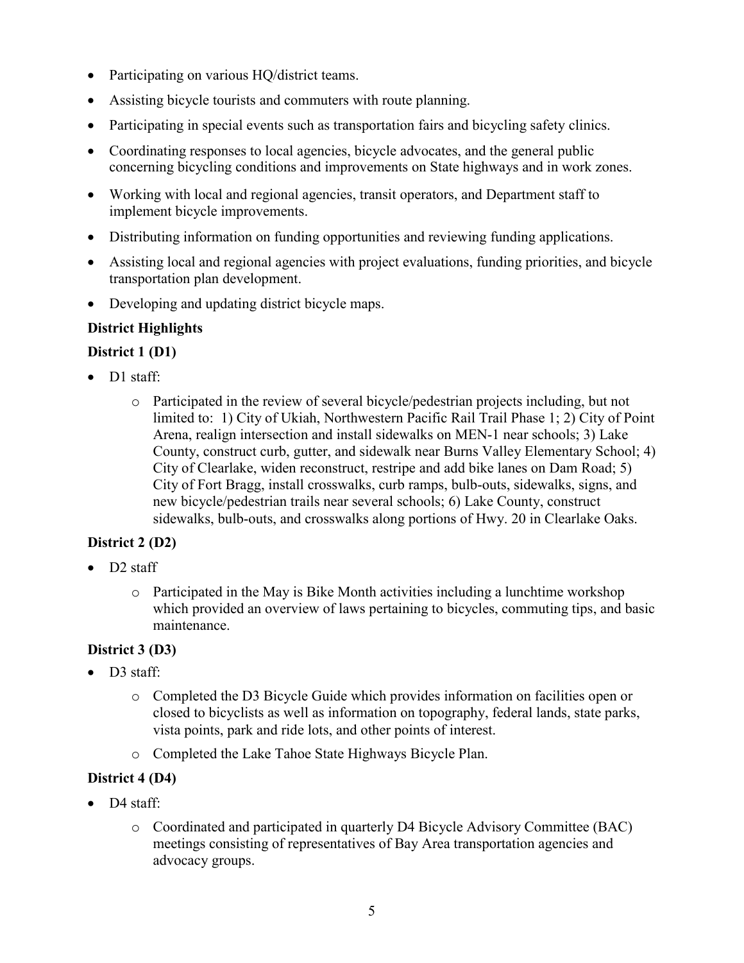- Participating on various HQ/district teams.
- Assisting bicycle tourists and commuters with route planning.
- Participating in special events such as transportation fairs and bicycling safety clinics.
- Coordinating responses to local agencies, bicycle advocates, and the general public concerning bicycling conditions and improvements on State highways and in work zones.
- • Working with local and regional agencies, transit operators, and Department staff to implement bicycle improvements.
- Distributing information on funding opportunities and reviewing funding applications.
- Assisting local and regional agencies with project evaluations, funding priorities, and bicycle transportation plan development.
- Developing and updating district bicycle maps.

### <span id="page-8-0"></span>**District Highlights**

#### <span id="page-8-1"></span>**District 1 (D1)**

- D1 staff:
	- Arena, realign intersection and install sidewalks on MEN-1 near schools; 3) Lake City of Clearlake, widen reconstruct, restripe and add bike lanes on Dam Road; 5) new bicycle/pedestrian trails near several schools; 6) Lake County, construct o Participated in the review of several bicycle/pedestrian projects including, but not limited to: 1) City of Ukiah, Northwestern Pacific Rail Trail Phase 1; 2) City of Point County, construct curb, gutter, and sidewalk near Burns Valley Elementary School; 4) City of Fort Bragg, install crosswalks, curb ramps, bulb-outs, sidewalks, signs, and sidewalks, bulb-outs, and crosswalks along portions of Hwy. 20 in Clearlake Oaks.

#### <span id="page-8-2"></span> **District 2 (D2)**

- D2 staff
	- maintenance. o Participated in the May is Bike Month activities including a lunchtime workshop which provided an overview of laws pertaining to bicycles, commuting tips, and basic

#### <span id="page-8-3"></span>**District 3 (D3)**

- D3 staff:
	- o Completed the D3 Bicycle Guide which provides information on facilities open or closed to bicyclists as well as information on topography, federal lands, state parks, vista points, park and ride lots, and other points of interest.
	- o Completed the Lake Tahoe State Highways Bicycle Plan.

#### <span id="page-8-4"></span>**District 4 (D4)**

- D4 staff:
	- meetings consisting of representatives of Bay Area transportation agencies and advocacy groups. o Coordinated and participated in quarterly D4 Bicycle Advisory Committee (BAC)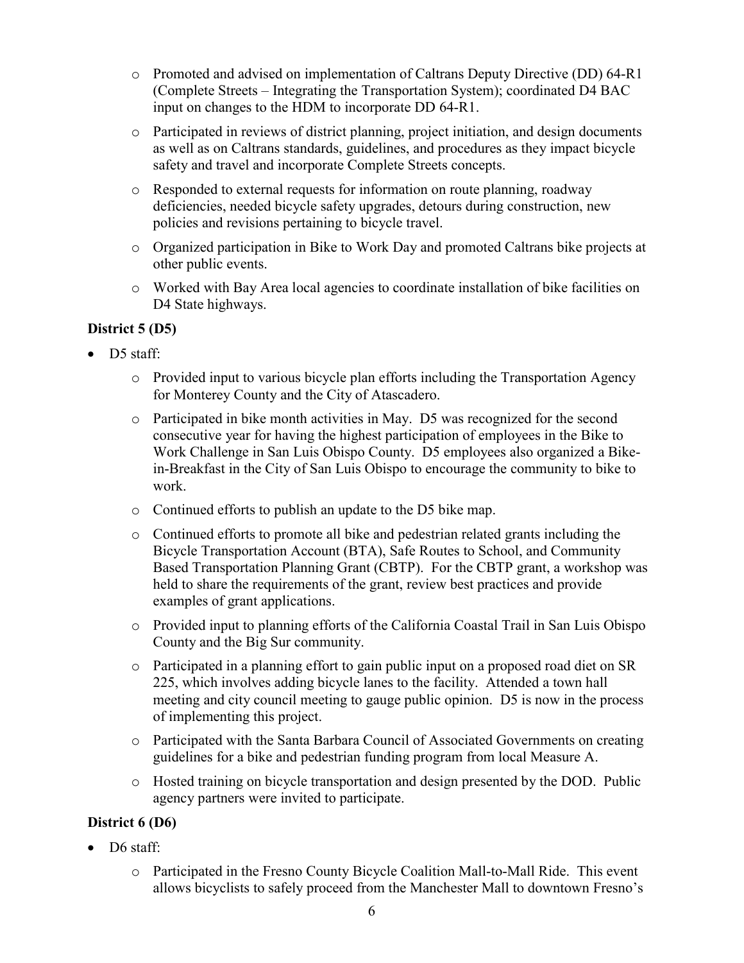- o Promoted and advised on implementation of Caltrans Deputy Directive (DD) 64-R1 input on changes to the HDM to incorporate DD 64-R1. (Complete Streets – Integrating the Transportation System); coordinated D4 BAC
- o Participated in reviews of district planning, project initiation, and design documents as well as on Caltrans standards, guidelines, and procedures as they impact bicycle safety and travel and incorporate Complete Streets concepts.
- o Responded to external requests for information on route planning, roadway deficiencies, needed bicycle safety upgrades, detours during construction, new policies and revisions pertaining to bicycle travel.
- o Organized participation in Bike to Work Day and promoted Caltrans bike projects at other public events.
- o Worked with Bay Area local agencies to coordinate installation of bike facilities on D4 State highways.

#### <span id="page-9-0"></span>**District 5 (D5)**

- D5 staff:
	- o Provided input to various bicycle plan efforts including the Transportation Agency for Monterey County and the City of Atascadero.
	- o Participated in bike month activities in May. D5 was recognized for the second consecutive year for having the highest participation of employees in the Bike to Work Challenge in San Luis Obispo County. D5 employees also organized a Bikein-Breakfast in the City of San Luis Obispo to encourage the community to bike to work.
	- o Continued efforts to publish an update to the D5 bike map.
	- Based Transportation Planning Grant (CBTP). For the CBTP grant, a workshop was o Continued efforts to promote all bike and pedestrian related grants including the Bicycle Transportation Account (BTA), Safe Routes to School, and Community held to share the requirements of the grant, review best practices and provide examples of grant applications.
	- o Provided input to planning efforts of the California Coastal Trail in San Luis Obispo County and the Big Sur community.
	- o Participated in a planning effort to gain public input on a proposed road diet on SR 225, which involves adding bicycle lanes to the facility. Attended a town hall meeting and city council meeting to gauge public opinion. D5 is now in the process of implementing this project.
	- guidelines for a bike and pedestrian funding program from local Measure A. o Participated with the Santa Barbara Council of Associated Governments on creating
	- agency partners were invited to participate. o Hosted training on bicycle transportation and design presented by the DOD. Public

#### <span id="page-9-1"></span>**District 6 (D6)**

- D6 staff:
	- allows bicyclists to safely proceed from the Manchester Mall to downtown Fresno's o Participated in the Fresno County Bicycle Coalition Mall-to-Mall Ride. This event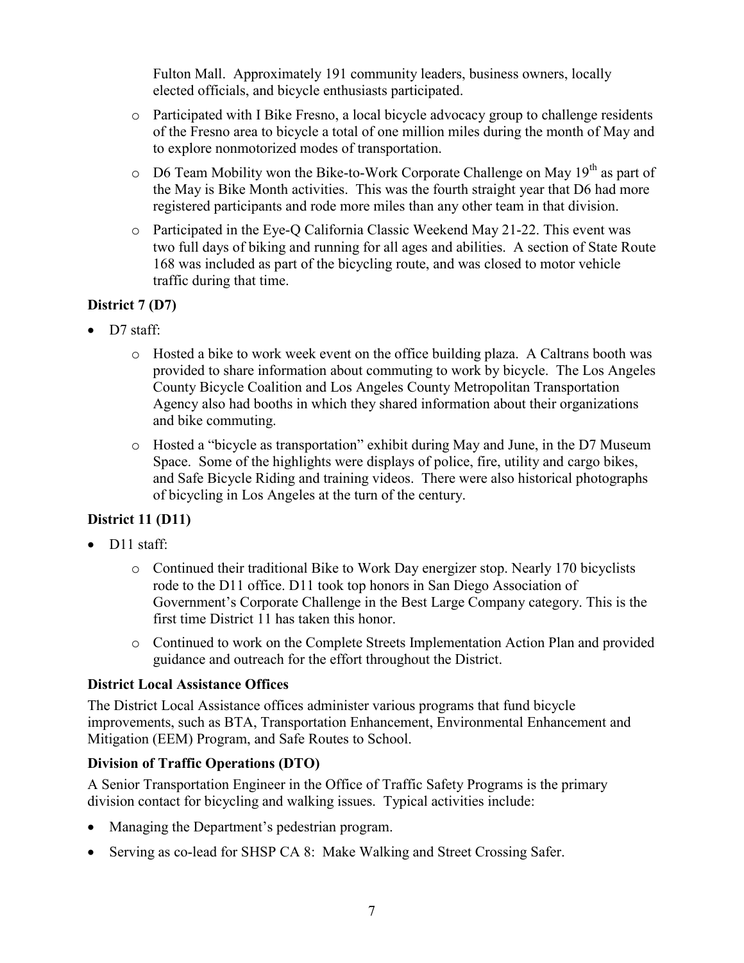Fulton Mall. Approximately 191 community leaders, business owners, locally elected officials, and bicycle enthusiasts participated.

- o Participated with I Bike Fresno, a local bicycle advocacy group to challenge residents of the Fresno area to bicycle a total of one million miles during the month of May and to explore nonmotorized modes of transportation.
- $\circ$  D6 Team Mobility won the Bike-to-Work Corporate Challenge on May 19<sup>th</sup> as part of the May is Bike Month activities. This was the fourth straight year that D6 had more registered participants and rode more miles than any other team in that division.
- two full days of biking and running for all ages and abilities. A section of State Route 168 was included as part of the bicycling route, and was closed to motor vehicle traffic during that time. o Participated in the Eye-Q California Classic Weekend May 21-22. This event was

#### <span id="page-10-0"></span>**District 7 (D7)**

- D7 staff:
	- o Hosted a bike to work week event on the office building plaza. A Caltrans booth was provided to share information about commuting to work by bicycle. The Los Angeles County Bicycle Coalition and Los Angeles County Metropolitan Transportation Agency also had booths in which they shared information about their organizations and bike commuting.
	- Space. Some of the highlights were displays of police, fire, utility and cargo bikes, and Safe Bicycle Riding and training videos. There were also historical photographs o Hosted a "bicycle as transportation" exhibit during May and June, in the D7 Museum of bicycling in Los Angeles at the turn of the century.

#### <span id="page-10-1"></span> **District 11 (D11)**

- D<sub>11</sub> staff:
	- o Continued their traditional Bike to Work Day energizer stop. Nearly 170 bicyclists first time District 11 has taken this honor. rode to the D11 office. D11 took top honors in San Diego Association of Government's Corporate Challenge in the Best Large Company category. This is the
	- o Continued to work on the Complete Streets Implementation Action Plan and provided guidance and outreach for the effort throughout the District.

#### <span id="page-10-2"></span>**District Local Assistance Offices**

The District Local Assistance offices administer various programs that fund bicycle improvements, such as BTA, Transportation Enhancement, Environmental Enhancement and Mitigation (EEM) Program, and Safe Routes to School.

#### <span id="page-10-3"></span> **Division of Traffic Operations (DTO)**

 division contact for bicycling and walking issues. Typical activities include: A Senior Transportation Engineer in the Office of Traffic Safety Programs is the primary

- Managing the Department's pedestrian program.
- Serving as co-lead for SHSP CA 8: Make Walking and Street Crossing Safer.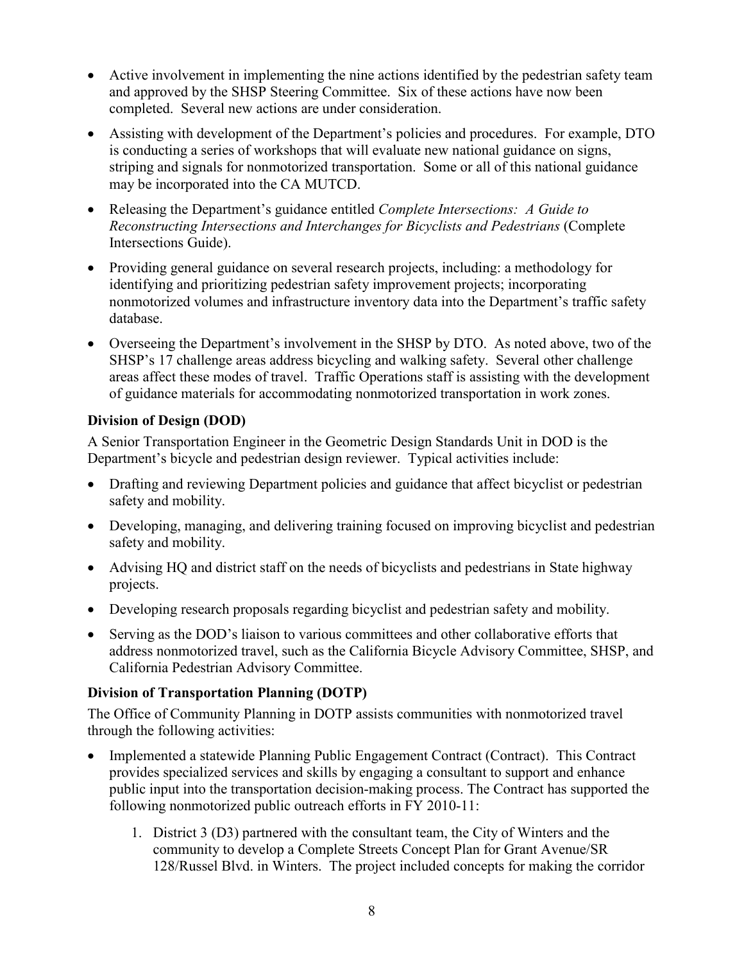- and approved by the SHSP Steering Committee. Six of these actions have now been completed. Several new actions are under consideration. • Active involvement in implementing the nine actions identified by the pedestrian safety team
- striping and signals for nonmotorized transportation. Some or all of this national guidance • Assisting with development of the Department's policies and procedures. For example, DTO is conducting a series of workshops that will evaluate new national guidance on signs, may be incorporated into the CA MUTCD.
- Releasing the Department's guidance entitled *Complete Intersections: A Guide to Reconstructing Intersections and Interchanges for Bicyclists and Pedestrians* (Complete Intersections Guide).
- • Providing general guidance on several research projects, including: a methodology for nonmotorized volumes and infrastructure inventory data into the Department's traffic safety identifying and prioritizing pedestrian safety improvement projects; incorporating database.
- • Overseeing the Department's involvement in the SHSP by DTO. As noted above, two of the SHSP's 17 challenge areas address bicycling and walking safety. Several other challenge areas affect these modes of travel. Traffic Operations staff is assisting with the development of guidance materials for accommodating nonmotorized transportation in work zones.

#### <span id="page-11-0"></span> **Division of Design (DOD)**

 A Senior Transportation Engineer in the Geometric Design Standards Unit in DOD is the Department's bicycle and pedestrian design reviewer. Typical activities include:

- • Drafting and reviewing Department policies and guidance that affect bicyclist or pedestrian safety and mobility.
- Developing, managing, and delivering training focused on improving bicyclist and pedestrian safety and mobility.
- • Advising HQ and district staff on the needs of bicyclists and pedestrians in State highway projects.
- Developing research proposals regarding bicyclist and pedestrian safety and mobility.
- Serving as the DOD's liaison to various committees and other collaborative efforts that address nonmotorized travel, such as the California Bicycle Advisory Committee, SHSP, and California Pedestrian Advisory Committee.

#### <span id="page-11-1"></span> **Division of Transportation Planning (DOTP)**

The Office of Community Planning in DOTP assists communities with nonmotorized travel through the following activities:

- Implemented a statewide Planning Public Engagement Contract (Contract). This Contract provides specialized services and skills by engaging a consultant to support and enhance public input into the transportation decision-making process. The Contract has supported the following nonmotorized public outreach efforts in FY 2010-11:
	- 1. District 3 (D3) partnered with the consultant team, the City of Winters and the 128/Russel Blvd. in Winters. The project included concepts for making the corridor community to develop a Complete Streets Concept Plan for Grant Avenue/SR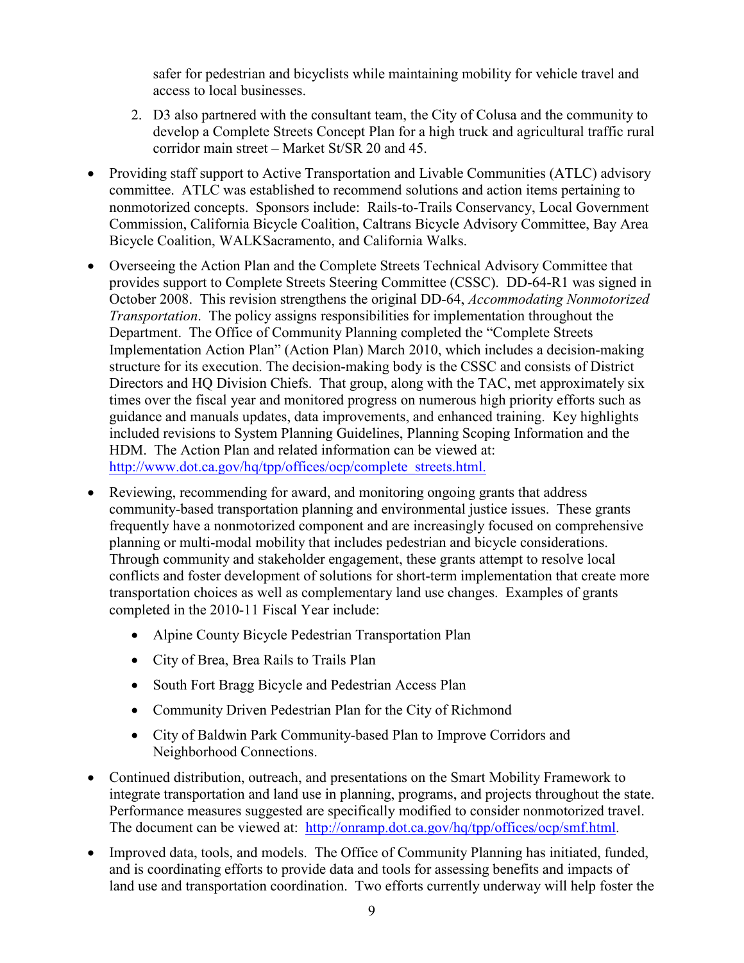safer for pedestrian and bicyclists while maintaining mobility for vehicle travel and access to local businesses.

- 2. D3 also partnered with the consultant team, the City of Colusa and the community to develop a Complete Streets Concept Plan for a high truck and agricultural traffic rural corridor main street – Market St/SR 20 and 45.
- • Providing staff support to Active Transportation and Livable Communities (ATLC) advisory committee. ATLC was established to recommend solutions and action items pertaining to nonmotorized concepts. Sponsors include: Rails-to-Trails Conservancy, Local Government Commission, California Bicycle Coalition, Caltrans Bicycle Advisory Committee, Bay Area Bicycle Coalition, WALKSacramento, and California Walks.
- provides support to Complete Streets Steering Committee (CSSC). DD-64-R1 was signed in *Transportation*. The policy assigns responsibilities for implementation throughout the structure for its execution. The decision-making body is the CSSC and consists of District HDM. The Action Plan and related information can be viewed at: • Overseeing the Action Plan and the Complete Streets Technical Advisory Committee that October 2008. This revision strengthens the original DD-64, *Accommodating Nonmotorized*  Department. The Office of Community Planning completed the "Complete Streets Implementation Action Plan" (Action Plan) March 2010, which includes a decision-making Directors and HQ Division Chiefs. That group, along with the TAC, met approximately six times over the fiscal year and monitored progress on numerous high priority efforts such as guidance and manuals updates, data improvements, and enhanced training. Key highlights included revisions to System Planning Guidelines, Planning Scoping Information and the http://www.dot.ca.gov/hq/tpp/offices/ocp/complete\_streets.html.
- planning or multi-modal mobility that includes pedestrian and bicycle considerations. transportation choices as well as complementary land use changes. Examples of grants • Reviewing, recommending for award, and monitoring ongoing grants that address community-based transportation planning and environmental justice issues. These grants frequently have a nonmotorized component and are increasingly focused on comprehensive Through community and stakeholder engagement, these grants attempt to resolve local conflicts and foster development of solutions for short-term implementation that create more completed in the 2010-11 Fiscal Year include:
	- Alpine County Bicycle Pedestrian Transportation Plan
	- City of Brea, Brea Rails to Trails Plan
	- South Fort Bragg Bicycle and Pedestrian Access Plan
	- Community Driven Pedestrian Plan for the City of Richmond
	- City of Baldwin Park Community-based Plan to Improve Corridors and Neighborhood Connections.
- integrate transportation and land use in planning, programs, and projects throughout the state. The document can be viewed at: [http://onramp.dot.ca.gov/hq/tpp/offices/ocp/smf.html.](http://onramp.dot.ca.gov/hq/tpp/offices/ocp/smf.html) • Continued distribution, outreach, and presentations on the Smart Mobility Framework to Performance measures suggested are specifically modified to consider nonmotorized travel.
- Improved data, tools, and models. The Office of Community Planning has initiated, funded, and is coordinating efforts to provide data and tools for assessing benefits and impacts of land use and transportation coordination. Two efforts currently underway will help foster the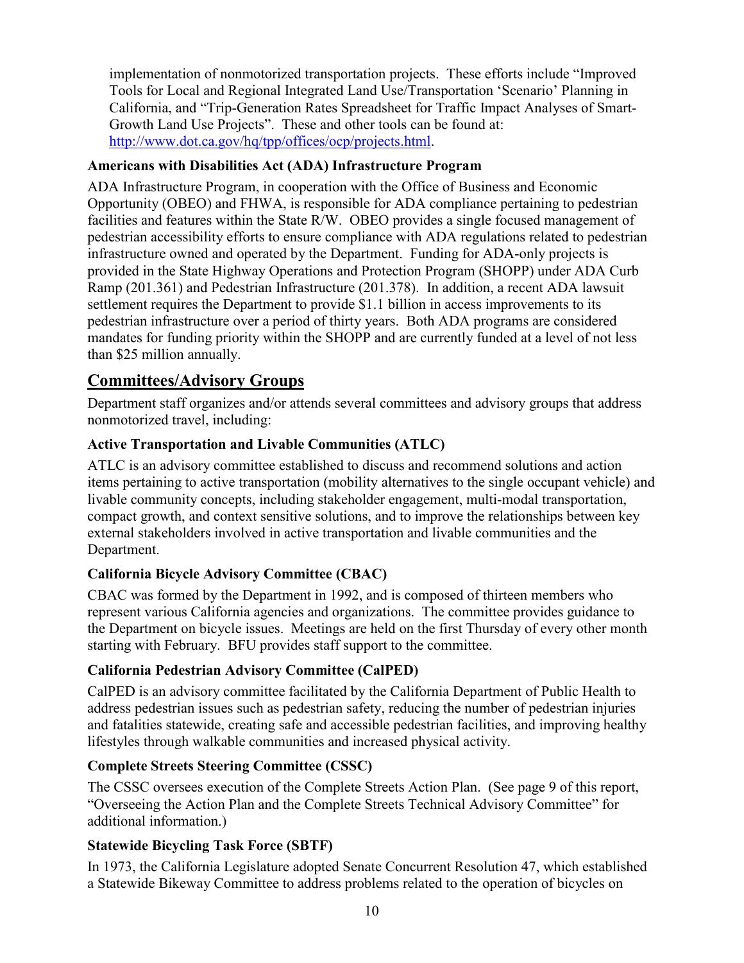Growth Land Use Projects". These and other tools can be found at: [http://www.dot.ca.gov/hq/tpp/offices/ocp/projects.html.](http://www.dot.ca.gov/hq/tpp/offices/ocp/projects.html) implementation of nonmotorized transportation projects. These efforts include "Improved Tools for Local and Regional Integrated Land Use/Transportation 'Scenario' Planning in California, and "Trip-Generation Rates Spreadsheet for Traffic Impact Analyses of Smart-

#### <span id="page-13-0"></span> **Americans with Disabilities Act (ADA) Infrastructure Program**

 ADA Infrastructure Program, in cooperation with the Office of Business and Economic pedestrian infrastructure over a period of thirty years. Both ADA programs are considered mandates for funding priority within the SHOPP and are currently funded at a level of not less Opportunity (OBEO) and FHWA, is responsible for ADA compliance pertaining to pedestrian facilities and features within the State R/W. OBEO provides a single focused management of pedestrian accessibility efforts to ensure compliance with ADA regulations related to pedestrian infrastructure owned and operated by the Department. Funding for ADA-only projects is provided in the State Highway Operations and Protection Program (SHOPP) under ADA Curb Ramp (201.361) and Pedestrian Infrastructure (201.378). In addition, a recent ADA lawsuit settlement requires the Department to provide \$1.1 billion in access improvements to its than \$25 million annually.

## <span id="page-13-1"></span>**Committees/Advisory Groups**

 Department staff organizes and/or attends several committees and advisory groups that address nonmotorized travel, including:

### <span id="page-13-2"></span>**Active Transportation and Livable Communities (ATLC)**

ATLC is an advisory committee established to discuss and recommend solutions and action items pertaining to active transportation (mobility alternatives to the single occupant vehicle) and livable community concepts, including stakeholder engagement, multi-modal transportation, compact growth, and context sensitive solutions, and to improve the relationships between key external stakeholders involved in active transportation and livable communities and the Department.

#### <span id="page-13-3"></span>**California Bicycle Advisory Committee (CBAC)**

 CBAC was formed by the Department in 1992, and is composed of thirteen members who the Department on bicycle issues. Meetings are held on the first Thursday of every other month starting with February. BFU provides staff support to the committee. represent various California agencies and organizations. The committee provides guidance to

#### <span id="page-13-4"></span>**California Pedestrian Advisory Committee (CalPED)**

 lifestyles through walkable communities and increased physical activity. CalPED is an advisory committee facilitated by the California Department of Public Health to address pedestrian issues such as pedestrian safety, reducing the number of pedestrian injuries and fatalities statewide, creating safe and accessible pedestrian facilities, and improving healthy

#### <span id="page-13-5"></span>**Complete Streets Steering Committee (CSSC)**

 The CSSC oversees execution of the Complete Streets Action Plan. (See page 9 of this report, "Overseeing the Action Plan and the Complete Streets Technical Advisory Committee" for additional information.)

#### <span id="page-13-6"></span>**Statewide Bicycling Task Force (SBTF)**

 In 1973, the California Legislature adopted Senate Concurrent Resolution 47, which established a Statewide Bikeway Committee to address problems related to the operation of bicycles on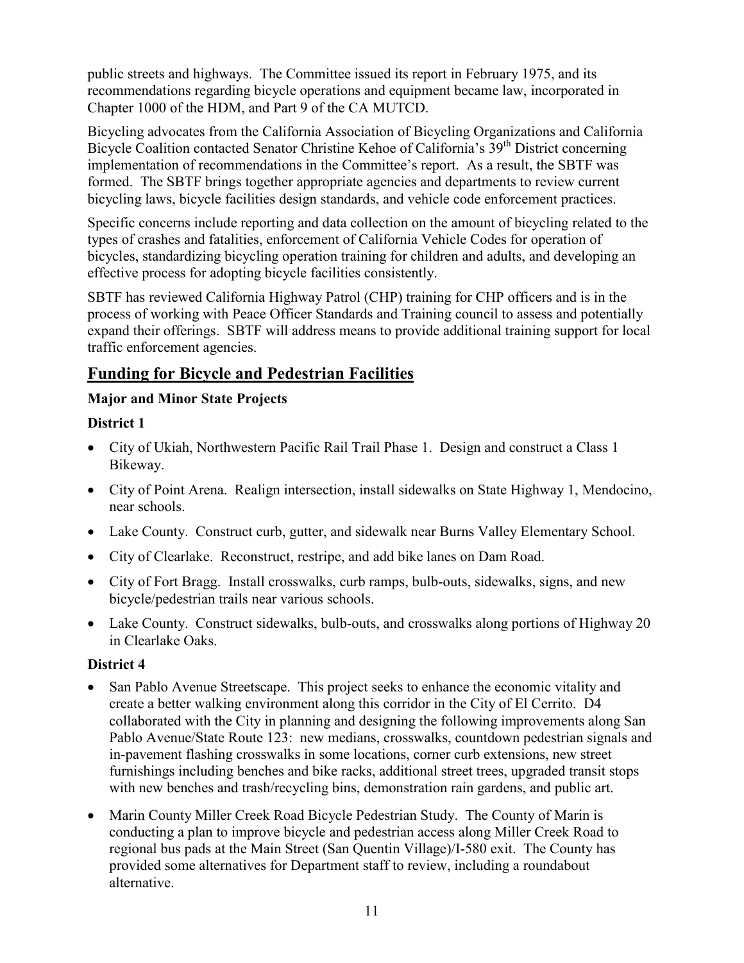Chapter 1000 of the HDM, and Part 9 of the CA MUTCD. public streets and highways. The Committee issued its report in February 1975, and its recommendations regarding bicycle operations and equipment became law, incorporated in

Bicycle Coalition contacted Senator Christine Kehoe of California's 39<sup>th</sup> District concerning bicycling laws, bicycle facilities design standards, and vehicle code enforcement practices. Bicycling advocates from the California Association of Bicycling Organizations and California implementation of recommendations in the Committee's report. As a result, the SBTF was formed. The SBTF brings together appropriate agencies and departments to review current

 types of crashes and fatalities, enforcement of California Vehicle Codes for operation of bicycles, standardizing bicycling operation training for children and adults, and developing an Specific concerns include reporting and data collection on the amount of bicycling related to the effective process for adopting bicycle facilities consistently.

 SBTF has reviewed California Highway Patrol (CHP) training for CHP officers and is in the process of working with Peace Officer Standards and Training council to assess and potentially expand their offerings. SBTF will address means to provide additional training support for local traffic enforcement agencies.

## <span id="page-14-0"></span>**Funding for Bicycle and Pedestrian Facilities**

#### <span id="page-14-1"></span>**Major and Minor State Projects**

### <span id="page-14-2"></span>**District 1**

- City of Ukiah, Northwestern Pacific Rail Trail Phase 1. Design and construct a Class 1 Bikeway.
- • City of Point Arena. Realign intersection, install sidewalks on State Highway 1, Mendocino, near schools.
- Lake County. Construct curb, gutter, and sidewalk near Burns Valley Elementary School.
- City of Clearlake. Reconstruct, restripe, and add bike lanes on Dam Road.
- City of Fort Bragg. Install crosswalks, curb ramps, bulb-outs, sidewalks, signs, and new bicycle/pedestrian trails near various schools.
- Lake County. Construct sidewalks, bulb-outs, and crosswalks along portions of Highway 20 in Clearlake Oaks.

### <span id="page-14-3"></span>**District 4**

- San Pablo Avenue Streetscape. This project seeks to enhance the economic vitality and create a better walking environment along this corridor in the City of El Cerrito. D4 collaborated with the City in planning and designing the following improvements along San Pablo Avenue/State Route 123: new medians, crosswalks, countdown pedestrian signals and in-pavement flashing crosswalks in some locations, corner curb extensions, new street furnishings including benches and bike racks, additional street trees, upgraded transit stops with new benches and trash/recycling bins, demonstration rain gardens, and public art.
- provided some alternatives for Department staff to review, including a roundabout • Marin County Miller Creek Road Bicycle Pedestrian Study. The County of Marin is conducting a plan to improve bicycle and pedestrian access along Miller Creek Road to regional bus pads at the Main Street (San Quentin Village)/I-580 exit. The County has alternative.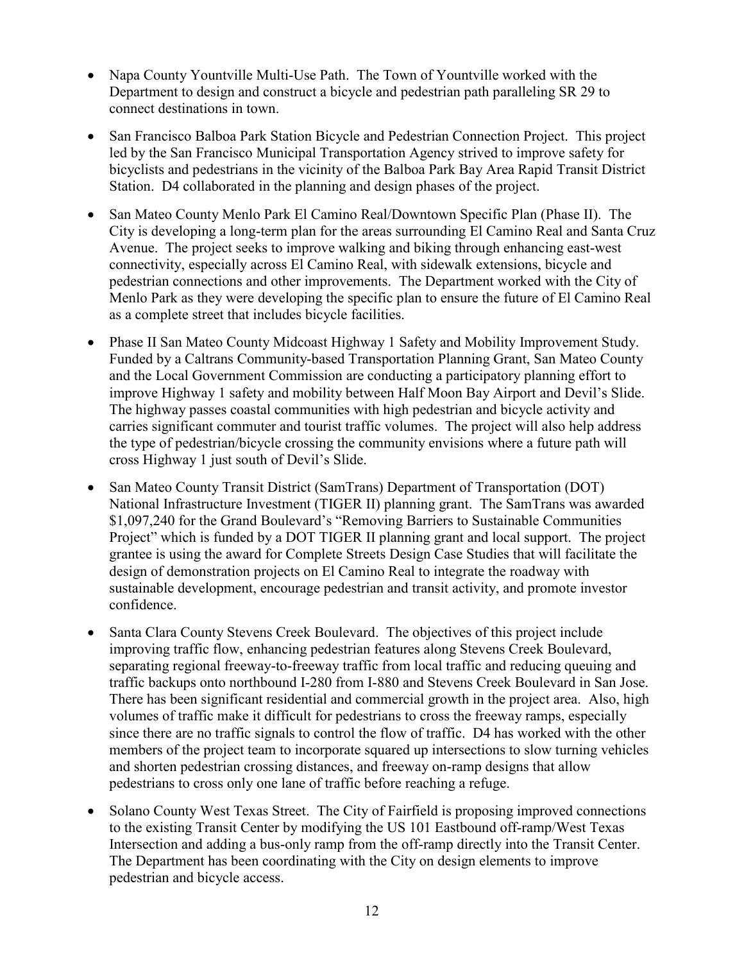- Napa County Yountville Multi-Use Path. The Town of Yountville worked with the Department to design and construct a bicycle and pedestrian path paralleling SR 29 to connect destinations in town.
- San Francisco Balboa Park Station Bicycle and Pedestrian Connection Project. This project led by the San Francisco Municipal Transportation Agency strived to improve safety for bicyclists and pedestrians in the vicinity of the Balboa Park Bay Area Rapid Transit District Station. D4 collaborated in the planning and design phases of the project.
- • San Mateo County Menlo Park El Camino Real/Downtown Specific Plan (Phase II). The City is developing a long-term plan for the areas surrounding El Camino Real and Santa Cruz Avenue. The project seeks to improve walking and biking through enhancing east-west connectivity, especially across El Camino Real, with sidewalk extensions, bicycle and pedestrian connections and other improvements. The Department worked with the City of Menlo Park as they were developing the specific plan to ensure the future of El Camino Real as a complete street that includes bicycle facilities.
- Funded by a Caltrans Community-based Transportation Planning Grant, San Mateo County • Phase II San Mateo County Midcoast Highway 1 Safety and Mobility Improvement Study. and the Local Government Commission are conducting a participatory planning effort to improve Highway 1 safety and mobility between Half Moon Bay Airport and Devil's Slide. The highway passes coastal communities with high pedestrian and bicycle activity and carries significant commuter and tourist traffic volumes. The project will also help address the type of pedestrian/bicycle crossing the community envisions where a future path will cross Highway 1 just south of Devil's Slide.
- • San Mateo County Transit District (SamTrans) Department of Transportation (DOT) National Infrastructure Investment (TIGER II) planning grant. The SamTrans was awarded Project" which is funded by a DOT TIGER II planning grant and local support. The project design of demonstration projects on El Camino Real to integrate the roadway with \$1,097,240 for the Grand Boulevard's "Removing Barriers to Sustainable Communities grantee is using the award for Complete Streets Design Case Studies that will facilitate the sustainable development, encourage pedestrian and transit activity, and promote investor confidence.
- separating regional freeway-to-freeway traffic from local traffic and reducing queuing and • Santa Clara County Stevens Creek Boulevard. The objectives of this project include improving traffic flow, enhancing pedestrian features along Stevens Creek Boulevard, traffic backups onto northbound I-280 from I-880 and Stevens Creek Boulevard in San Jose. There has been significant residential and commercial growth in the project area. Also, high volumes of traffic make it difficult for pedestrians to cross the freeway ramps, especially since there are no traffic signals to control the flow of traffic. D4 has worked with the other members of the project team to incorporate squared up intersections to slow turning vehicles and shorten pedestrian crossing distances, and freeway on-ramp designs that allow pedestrians to cross only one lane of traffic before reaching a refuge.
- Intersection and adding a bus-only ramp from the off-ramp directly into the Transit Center. The Department has been coordinating with the City on design elements to improve • Solano County West Texas Street. The City of Fairfield is proposing improved connections to the existing Transit Center by modifying the US 101 Eastbound off-ramp/West Texas pedestrian and bicycle access.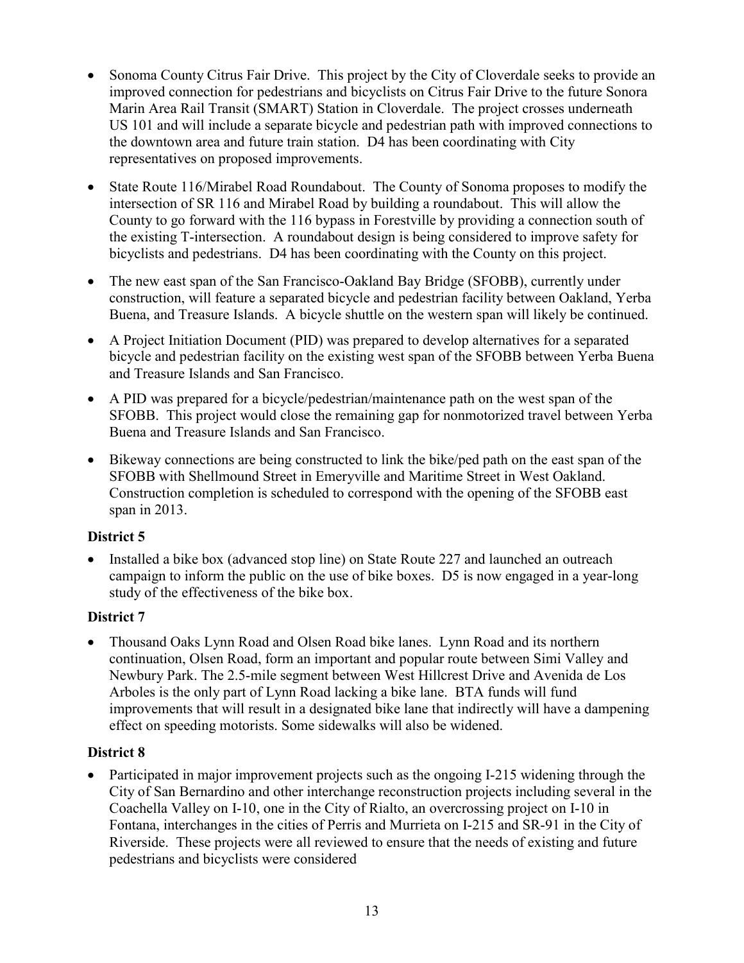- Marin Area Rail Transit (SMART) Station in Cloverdale. The project crosses underneath • Sonoma County Citrus Fair Drive. This project by the City of Cloverdale seeks to provide an improved connection for pedestrians and bicyclists on Citrus Fair Drive to the future Sonora US 101 and will include a separate bicycle and pedestrian path with improved connections to the downtown area and future train station. D4 has been coordinating with City representatives on proposed improvements.
- the existing T-intersection. A roundabout design is being considered to improve safety for • State Route 116/Mirabel Road Roundabout. The County of Sonoma proposes to modify the intersection of SR 116 and Mirabel Road by building a roundabout. This will allow the County to go forward with the 116 bypass in Forestville by providing a connection south of bicyclists and pedestrians. D4 has been coordinating with the County on this project.
- The new east span of the San Francisco-Oakland Bay Bridge (SFOBB), currently under construction, will feature a separated bicycle and pedestrian facility between Oakland, Yerba Buena, and Treasure Islands. A bicycle shuttle on the western span will likely be continued.
- • A Project Initiation Document (PID) was prepared to develop alternatives for a separated bicycle and pedestrian facility on the existing west span of the SFOBB between Yerba Buena and Treasure Islands and San Francisco.
- Buena and Treasure Islands and San Francisco. • A PID was prepared for a bicycle/pedestrian/maintenance path on the west span of the SFOBB. This project would close the remaining gap for nonmotorized travel between Yerba
- SFOBB with Shellmound Street in Emeryville and Maritime Street in West Oakland. • Bikeway connections are being constructed to link the bike/ped path on the east span of the Construction completion is scheduled to correspond with the opening of the SFOBB east span in 2013.

#### <span id="page-16-0"></span>**District 5**

 campaign to inform the public on the use of bike boxes. D5 is now engaged in a year-long • Installed a bike box (advanced stop line) on State Route 227 and launched an outreach study of the effectiveness of the bike box.

#### <span id="page-16-1"></span>**District 7**

 Arboles is the only part of Lynn Road lacking a bike lane. BTA funds will fund • Thousand Oaks Lynn Road and Olsen Road bike lanes. Lynn Road and its northern continuation, Olsen Road, form an important and popular route between Simi Valley and Newbury Park. The 2.5-mile segment between West Hillcrest Drive and Avenida de Los improvements that will result in a designated bike lane that indirectly will have a dampening effect on speeding motorists. Some sidewalks will also be widened.

#### <span id="page-16-2"></span>**District 8**

• Participated in major improvement projects such as the ongoing I-215 widening through the City of San Bernardino and other interchange reconstruction projects including several in the Coachella Valley on I-10, one in the City of Rialto, an overcrossing project on I-10 in Fontana, interchanges in the cities of Perris and Murrieta on I-215 and SR-91 in the City of Riverside. These projects were all reviewed to ensure that the needs of existing and future pedestrians and bicyclists were considered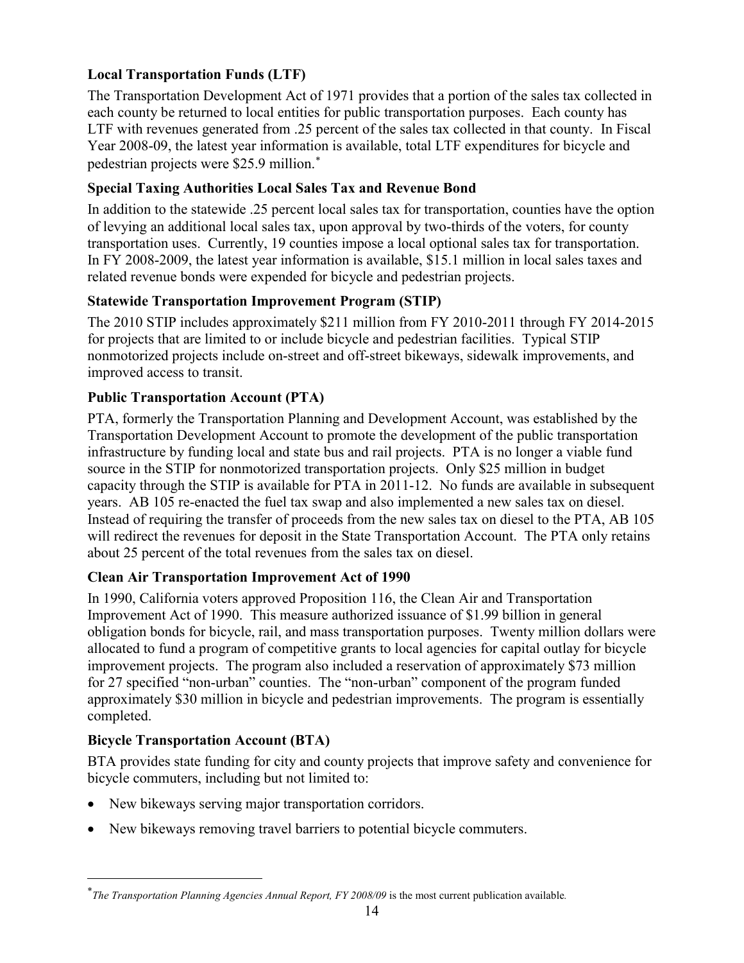### <span id="page-17-0"></span> **Local Transportation Funds (LTF)**

 LTF with revenues generated from .25 percent of the sales tax collected in that county. In Fiscal pedestrian projects were \$25.9 million. [∗](#page-0-0) The Transportation Development Act of 1971 provides that a portion of the sales tax collected in each county be returned to local entities for public transportation purposes. Each county has Year 2008-09, the latest year information is available, total LTF expenditures for bicycle and

### <span id="page-17-1"></span>**Special Taxing Authorities Local Sales Tax and Revenue Bond**

In addition to the statewide .25 percent local sales tax for transportation, counties have the option of levying an additional local sales tax, upon approval by two-thirds of the voters, for county transportation uses. Currently, 19 counties impose a local optional sales tax for transportation. In FY 2008-2009, the latest year information is available, \$15.1 million in local sales taxes and related revenue bonds were expended for bicycle and pedestrian projects.

### <span id="page-17-2"></span> **Statewide Transportation Improvement Program (STIP)**

 The 2010 STIP includes approximately \$211 million from FY 2010-2011 through FY 2014-2015 for projects that are limited to or include bicycle and pedestrian facilities. Typical STIP nonmotorized projects include on-street and off-street bikeways, sidewalk improvements, and improved access to transit.

### <span id="page-17-3"></span> **Public Transportation Account (PTA)**

 infrastructure by funding local and state bus and rail projects. PTA is no longer a viable fund years. AB 105 re-enacted the fuel tax swap and also implemented a new sales tax on diesel. will redirect the revenues for deposit in the State Transportation Account. The PTA only retains PTA, formerly the Transportation Planning and Development Account, was established by the Transportation Development Account to promote the development of the public transportation source in the STIP for nonmotorized transportation projects. Only \$25 million in budget capacity through the STIP is available for PTA in 2011-12. No funds are available in subsequent Instead of requiring the transfer of proceeds from the new sales tax on diesel to the PTA, AB 105 about 25 percent of the total revenues from the sales tax on diesel.

#### <span id="page-17-4"></span>**Clean Air Transportation Improvement Act of 1990**

 obligation bonds for bicycle, rail, and mass transportation purposes. Twenty million dollars were allocated to fund a program of competitive grants to local agencies for capital outlay for bicycle for 27 specified "non-urban" counties. The "non-urban" component of the program funded approximately \$30 million in bicycle and pedestrian improvements. The program is essentially In 1990, California voters approved Proposition 116, the Clean Air and Transportation Improvement Act of 1990. This measure authorized issuance of \$1.99 billion in general improvement projects. The program also included a reservation of approximately \$73 million completed.

#### <span id="page-17-5"></span>**Bicycle Transportation Account (BTA)**

 $\overline{a}$ 

BTA provides state funding for city and county projects that improve safety and convenience for bicycle commuters, including but not limited to:

- New bikeways serving major transportation corridors.
- New bikeways removing travel barriers to potential bicycle commuters.

<span id="page-17-6"></span> ∗ *The Transportation Planning Agencies Annual Report, FY 2008/09* is the most current publication available*.*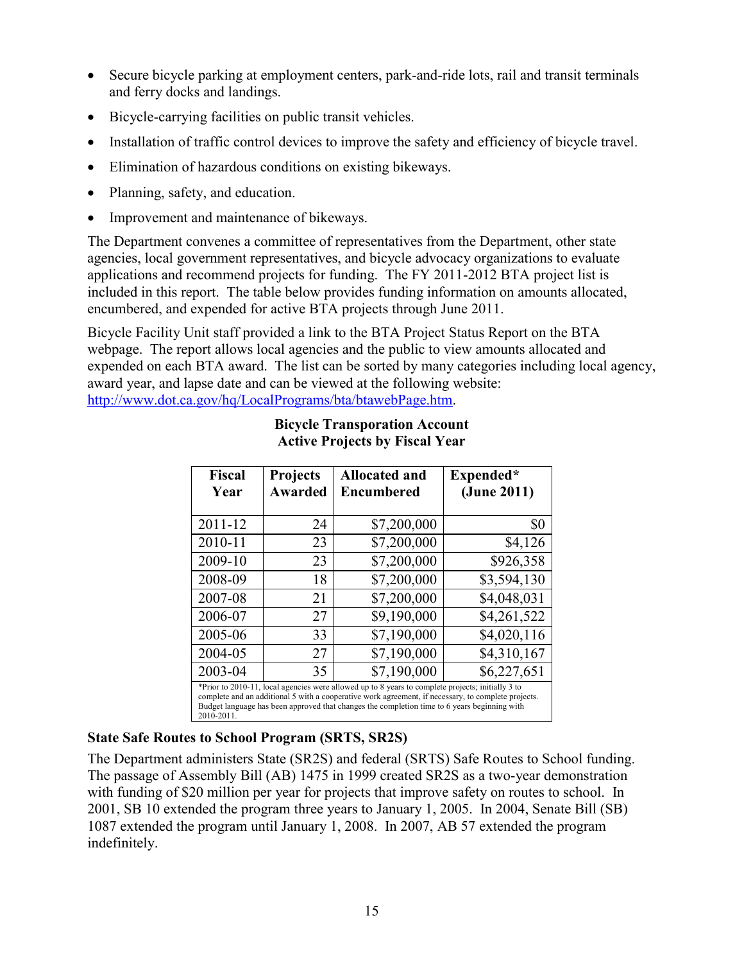- Secure bicycle parking at employment centers, park-and-ride lots, rail and transit terminals and ferry docks and landings.
- Bicycle-carrying facilities on public transit vehicles.
- Installation of traffic control devices to improve the safety and efficiency of bicycle travel.
- Elimination of hazardous conditions on existing bikeways.
- Planning, safety, and education.
- Improvement and maintenance of bikeways.

 applications and recommend projects for funding. The FY 2011-2012 BTA project list is The Department convenes a committee of representatives from the Department, other state agencies, local government representatives, and bicycle advocacy organizations to evaluate included in this report. The table below provides funding information on amounts allocated, encumbered, and expended for active BTA projects through June 2011.

<span id="page-18-0"></span> expended on each BTA award. The list can be sorted by many categories including local agency, award year, and lapse date and can be viewed at the following website: Bicycle Facility Unit staff provided a link to the BTA Project Status Report on the BTA webpage. The report allows local agencies and the public to view amounts allocated and [http://www.dot.ca.gov/hq/LocalPrograms/bta/btawebPage.htm.](http://www.dot.ca.gov/hq/LocalPrograms/bta/btawebPage.htm)

| <b>Fiscal</b><br>Year                                                                                                                                                                                                                                                                                                  | <b>Projects</b><br><b>Awarded</b> | <b>Allocated and</b><br><b>Encumbered</b> | Expended*<br>(June 2011) |
|------------------------------------------------------------------------------------------------------------------------------------------------------------------------------------------------------------------------------------------------------------------------------------------------------------------------|-----------------------------------|-------------------------------------------|--------------------------|
| 2011-12                                                                                                                                                                                                                                                                                                                | 24                                | \$7,200,000                               | \$0                      |
| 2010-11                                                                                                                                                                                                                                                                                                                | 23                                | \$7,200,000                               | \$4,126                  |
| 2009-10                                                                                                                                                                                                                                                                                                                | 23                                | \$7,200,000                               | \$926,358                |
| 2008-09                                                                                                                                                                                                                                                                                                                | 18                                | \$7,200,000                               | \$3,594,130              |
| 2007-08                                                                                                                                                                                                                                                                                                                | 21                                | \$7,200,000                               | \$4,048,031              |
| 2006-07                                                                                                                                                                                                                                                                                                                | 27                                | \$9,190,000                               | \$4,261,522              |
| 2005-06                                                                                                                                                                                                                                                                                                                | 33                                | \$7,190,000                               | \$4,020,116              |
| 2004-05                                                                                                                                                                                                                                                                                                                | 27                                | \$7,190,000                               | \$4,310,167              |
| 2003-04                                                                                                                                                                                                                                                                                                                | 35                                | \$7,190,000                               | \$6,227,651              |
| *Prior to 2010-11, local agencies were allowed up to 8 years to complete projects; initially 3 to<br>complete and an additional 5 with a cooperative work agreement, if necessary, to complete projects.<br>Budget language has been approved that changes the completion time to 6 years beginning with<br>2010-2011. |                                   |                                           |                          |

#### **Bicycle Transporation Account Active Projects by Fiscal Year**

#### <span id="page-18-1"></span>**State Safe Routes to School Program (SRTS, SR2S)**

The Department administers State (SR2S) and federal (SRTS) Safe Routes to School funding. The passage of Assembly Bill (AB) 1475 in 1999 created SR2S as a two-year demonstration with funding of \$20 million per year for projects that improve safety on routes to school. In 2001, SB 10 extended the program three years to January 1, 2005. In 2004, Senate Bill (SB) 1087 extended the program until January 1, 2008. In 2007, AB 57 extended the program indefinitely.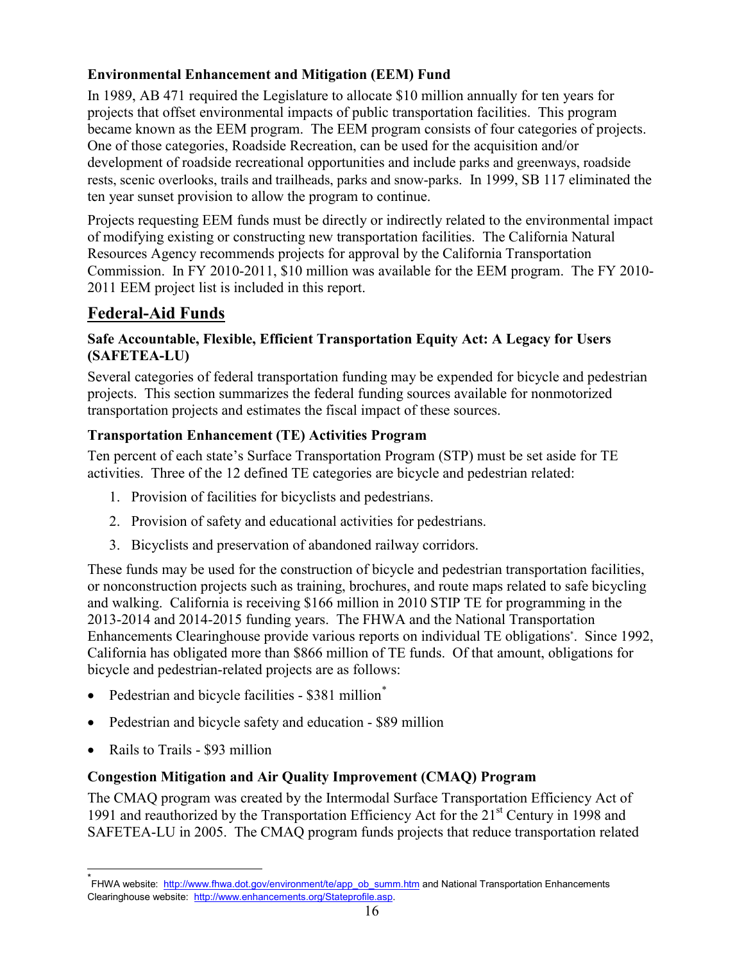### <span id="page-19-0"></span> **Environmental Enhancement and Mitigation (EEM) Fund**

 projects that offset environmental impacts of public transportation facilities. This program rests, scenic overlooks, trails and trailheads, parks and snow-parks. In 1999, SB 117 eliminated the In 1989, AB 471 required the Legislature to allocate \$10 million annually for ten years for became known as the EEM program. The EEM program consists of four categories of projects. One of those categories, Roadside Recreation, can be used for the acquisition and/or development of roadside recreational opportunities and include parks and greenways, roadside ten year sunset provision to allow the program to continue.

 of modifying existing or constructing new transportation facilities. The California Natural Commission. In FY 2010-2011, \$10 million was available for the EEM program. The FY 2010- Projects requesting EEM funds must be directly or indirectly related to the environmental impact Resources Agency recommends projects for approval by the California Transportation 2011 EEM project list is included in this report.

# <span id="page-19-1"></span> **Federal-Aid Funds**

#### <span id="page-19-2"></span> **Safe Accountable, Flexible, Efficient Transportation Equity Act: A Legacy for Users (SAFETEA-LU)**

Several categories of federal transportation funding may be expended for bicycle and pedestrian projects. This section summarizes the federal funding sources available for nonmotorized transportation projects and estimates the fiscal impact of these sources.

#### <span id="page-19-3"></span>**Transportation Enhancement (TE) Activities Program**

Ten percent of each state's Surface Transportation Program (STP) must be set aside for TE activities. Three of the 12 defined TE categories are bicycle and pedestrian related:

- 1. Provision of facilities for bicyclists and pedestrians.
- 2. Provision of safety and educational activities for pedestrians.
- 3. Bicyclists and preservation of abandoned railway corridors.

 and walking. California is receiving \$166 million in 2010 STIP TE for programming in the 2013-2014 and 2014-2015 funding years. The FHWA and the National Transportation bicycle and pedestrian-related projects are as follows: These funds may be used for the construction of bicycle and pedestrian transportation facilities, or nonconstruction projects such as training, brochures, and route maps related to safe bicycling Enhancements Clearinghouse provide various reports on individual TE obligations\* . Since 1992, California has obligated more than \$866 million of TE funds. Of that amount, obligations for

- Pedestrian and bicycle facilities \$381 million[\\*](#page-17-6)
- Pedestrian and bicycle safety and education \$89 million
- Rails to Trails \$93 million

#### <span id="page-19-4"></span> **Congestion Mitigation and Air Quality Improvement (CMAQ) Program**

 The CMAQ program was created by the Intermodal Surface Transportation Efficiency Act of 1991 and reauthorized by the Transportation Efficiency Act for the 21<sup>st</sup> Century in 1998 and SAFETEA-LU in 2005. The CMAQ program funds projects that reduce transportation related

<sup>\*&</sup>lt;br>「FHWA website: <u>http://www.fhwa.dot.gov/environment/te/app\_ob\_summ.htm</u> and National Transportation Enhancements Clearinghouse website: <u>http://www.enhancements.org/Stateprofile.asp</u>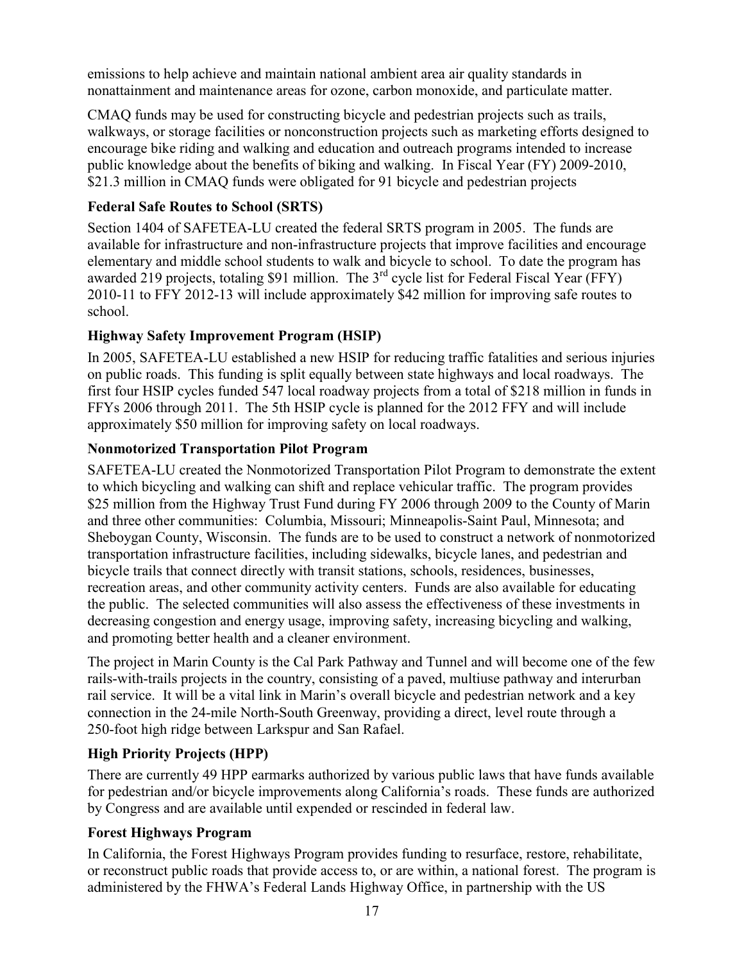emissions to help achieve and maintain national ambient area air quality standards in nonattainment and maintenance areas for ozone, carbon monoxide, and particulate matter.

 \$21.3 million in CMAQ funds were obligated for 91 bicycle and pedestrian projects CMAQ funds may be used for constructing bicycle and pedestrian projects such as trails, walkways, or storage facilities or nonconstruction projects such as marketing efforts designed to encourage bike riding and walking and education and outreach programs intended to increase public knowledge about the benefits of biking and walking. In Fiscal Year (FY) 2009-2010,

#### <span id="page-20-0"></span>**Federal Safe Routes to School (SRTS)**

awarded 219 projects, totaling \$91 million. The  $3<sup>rd</sup>$  cycle list for Federal Fiscal Year (FFY) Section 1404 of SAFETEA-LU created the federal SRTS program in 2005. The funds are available for infrastructure and non-infrastructure projects that improve facilities and encourage elementary and middle school students to walk and bicycle to school. To date the program has 2010-11 to FFY 2012-13 will include approximately \$42 million for improving safe routes to school.

### <span id="page-20-1"></span>**Highway Safety Improvement Program (HSIP)**

In 2005, SAFETEA-LU established a new HSIP for reducing traffic fatalities and serious injuries on public roads. This funding is split equally between state highways and local roadways. The first four HSIP cycles funded 547 local roadway projects from a total of \$218 million in funds in FFYs 2006 through 2011. The 5th HSIP cycle is planned for the 2012 FFY and will include approximately \$50 million for improving safety on local roadways.

#### <span id="page-20-2"></span> **Nonmotorized Transportation Pilot Program**

 \$25 million from the Highway Trust Fund during FY 2006 through 2009 to the County of Marin the public. The selected communities will also assess the effectiveness of these investments in and promoting better health and a cleaner environment. SAFETEA-LU created the Nonmotorized Transportation Pilot Program to demonstrate the extent to which bicycling and walking can shift and replace vehicular traffic. The program provides and three other communities: Columbia, Missouri; Minneapolis-Saint Paul, Minnesota; and Sheboygan County, Wisconsin. The funds are to be used to construct a network of nonmotorized transportation infrastructure facilities, including sidewalks, bicycle lanes, and pedestrian and bicycle trails that connect directly with transit stations, schools, residences, businesses, recreation areas, and other community activity centers. Funds are also available for educating decreasing congestion and energy usage, improving safety, increasing bicycling and walking,

 rail service. It will be a vital link in Marin's overall bicycle and pedestrian network and a key connection in the 24-mile North-South Greenway, providing a direct, level route through a 250-foot high ridge between Larkspur and San Rafael. The project in Marin County is the Cal Park Pathway and Tunnel and will become one of the few rails-with-trails projects in the country, consisting of a paved, multiuse pathway and interurban

#### <span id="page-20-3"></span>**High Priority Projects (HPP)**

 There are currently 49 HPP earmarks authorized by various public laws that have funds available for pedestrian and/or bicycle improvements along California's roads. These funds are authorized by Congress and are available until expended or rescinded in federal law.

#### <span id="page-20-4"></span>**Forest Highways Program**

 In California, the Forest Highways Program provides funding to resurface, restore, rehabilitate, administered by the FHWA's Federal Lands Highway Office, in partnership with the US or reconstruct public roads that provide access to, or are within, a national forest. The program is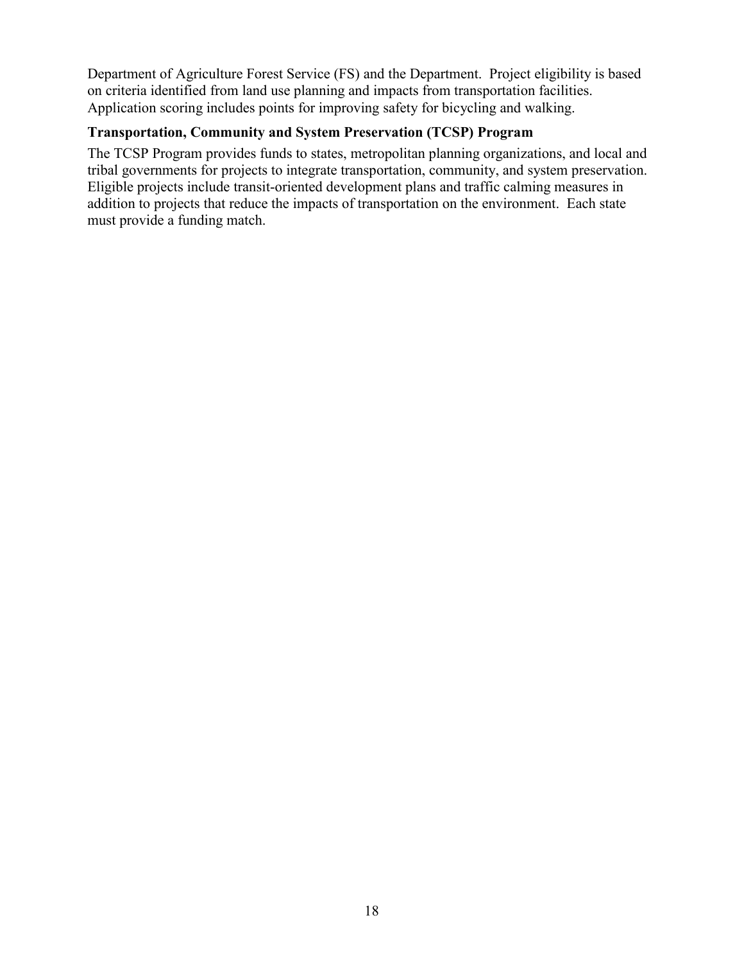Department of Agriculture Forest Service (FS) and the Department. Project eligibility is based on criteria identified from land use planning and impacts from transportation facilities. Application scoring includes points for improving safety for bicycling and walking.

#### <span id="page-21-0"></span> **Transportation, Community and System Preservation (TCSP) Program**

 must provide a funding match. The TCSP Program provides funds to states, metropolitan planning organizations, and local and tribal governments for projects to integrate transportation, community, and system preservation. Eligible projects include transit-oriented development plans and traffic calming measures in addition to projects that reduce the impacts of transportation on the environment. Each state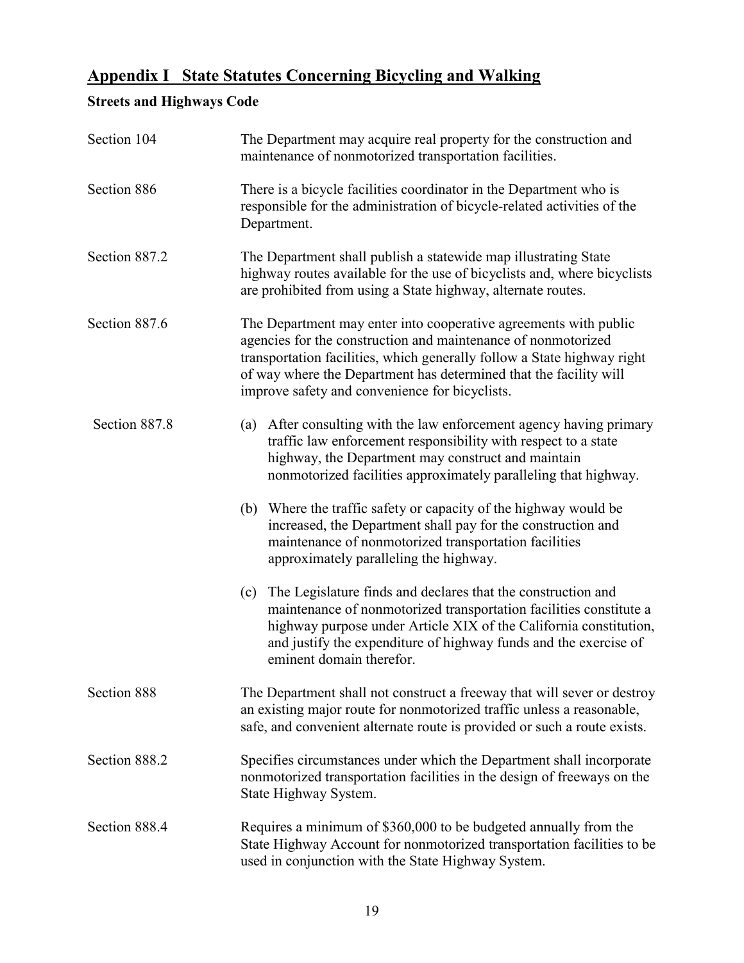# <span id="page-22-0"></span> **Appendix I State Statutes Concerning Bicycling and Walking**

# <span id="page-22-1"></span>**Streets and Highways Code**

| Section 104   | The Department may acquire real property for the construction and<br>maintenance of nonmotorized transportation facilities.                                                                                                                                                                                                         |  |  |
|---------------|-------------------------------------------------------------------------------------------------------------------------------------------------------------------------------------------------------------------------------------------------------------------------------------------------------------------------------------|--|--|
| Section 886   | There is a bicycle facilities coordinator in the Department who is<br>responsible for the administration of bicycle-related activities of the<br>Department.                                                                                                                                                                        |  |  |
| Section 887.2 | The Department shall publish a statewide map illustrating State<br>highway routes available for the use of bicyclists and, where bicyclists<br>are prohibited from using a State highway, alternate routes.                                                                                                                         |  |  |
| Section 887.6 | The Department may enter into cooperative agreements with public<br>agencies for the construction and maintenance of nonmotorized<br>transportation facilities, which generally follow a State highway right<br>of way where the Department has determined that the facility will<br>improve safety and convenience for bicyclists. |  |  |
| Section 887.8 | (a) After consulting with the law enforcement agency having primary<br>traffic law enforcement responsibility with respect to a state<br>highway, the Department may construct and maintain<br>nonmotorized facilities approximately paralleling that highway.                                                                      |  |  |
|               | (b) Where the traffic safety or capacity of the highway would be<br>increased, the Department shall pay for the construction and<br>maintenance of nonmotorized transportation facilities<br>approximately paralleling the highway.                                                                                                 |  |  |
|               | The Legislature finds and declares that the construction and<br>(c)<br>maintenance of nonmotorized transportation facilities constitute a<br>highway purpose under Article XIX of the California constitution,<br>and justify the expenditure of highway funds and the exercise of<br>eminent domain therefor.                      |  |  |
| Section 888   | The Department shall not construct a freeway that will sever or destroy<br>an existing major route for nonmotorized traffic unless a reasonable,<br>safe, and convenient alternate route is provided or such a route exists.                                                                                                        |  |  |
| Section 888.2 | Specifies circumstances under which the Department shall incorporate<br>nonmotorized transportation facilities in the design of freeways on the<br>State Highway System.                                                                                                                                                            |  |  |
| Section 888.4 | Requires a minimum of \$360,000 to be budgeted annually from the<br>State Highway Account for nonmotorized transportation facilities to be<br>used in conjunction with the State Highway System.                                                                                                                                    |  |  |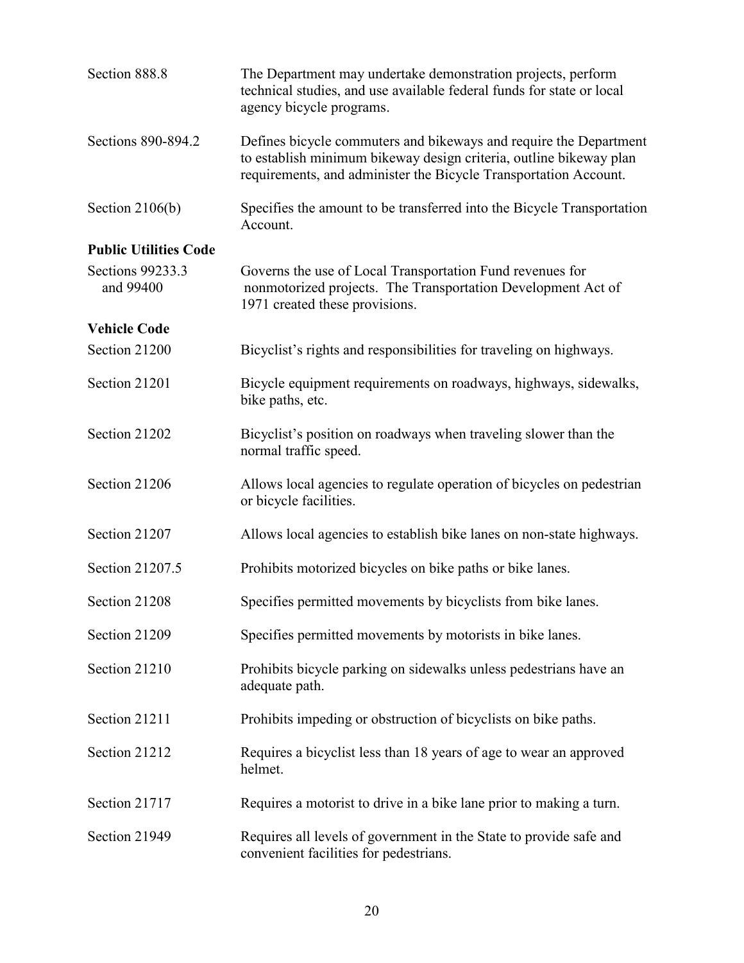<span id="page-23-1"></span><span id="page-23-0"></span>

| Section 888.8                 | The Department may undertake demonstration projects, perform<br>technical studies, and use available federal funds for state or local<br>agency bicycle programs.                                           |
|-------------------------------|-------------------------------------------------------------------------------------------------------------------------------------------------------------------------------------------------------------|
| Sections 890-894.2            | Defines bicycle commuters and bikeways and require the Department<br>to establish minimum bikeway design criteria, outline bikeway plan<br>requirements, and administer the Bicycle Transportation Account. |
| Section $2106(b)$             | Specifies the amount to be transferred into the Bicycle Transportation<br>Account.                                                                                                                          |
| <b>Public Utilities Code</b>  |                                                                                                                                                                                                             |
| Sections 99233.3<br>and 99400 | Governs the use of Local Transportation Fund revenues for<br>nonmotorized projects. The Transportation Development Act of<br>1971 created these provisions.                                                 |
| <b>Vehicle Code</b>           |                                                                                                                                                                                                             |
| Section 21200                 | Bicyclist's rights and responsibilities for traveling on highways.                                                                                                                                          |
| Section 21201                 | Bicycle equipment requirements on roadways, highways, sidewalks,<br>bike paths, etc.                                                                                                                        |
| Section 21202                 | Bicyclist's position on roadways when traveling slower than the<br>normal traffic speed.                                                                                                                    |
| Section 21206                 | Allows local agencies to regulate operation of bicycles on pedestrian<br>or bicycle facilities.                                                                                                             |
| Section 21207                 | Allows local agencies to establish bike lanes on non-state highways.                                                                                                                                        |
| Section 21207.5               | Prohibits motorized bicycles on bike paths or bike lanes.                                                                                                                                                   |
| Section 21208                 | Specifies permitted movements by bicyclists from bike lanes.                                                                                                                                                |
| Section 21209                 | Specifies permitted movements by motorists in bike lanes.                                                                                                                                                   |
| Section 21210                 | Prohibits bicycle parking on sidewalks unless pedestrians have an<br>adequate path.                                                                                                                         |
| Section 21211                 | Prohibits impeding or obstruction of bicyclists on bike paths.                                                                                                                                              |
| Section 21212                 | Requires a bicyclist less than 18 years of age to wear an approved<br>helmet.                                                                                                                               |
| Section 21717                 | Requires a motorist to drive in a bike lane prior to making a turn.                                                                                                                                         |
| Section 21949                 | Requires all levels of government in the State to provide safe and<br>convenient facilities for pedestrians.                                                                                                |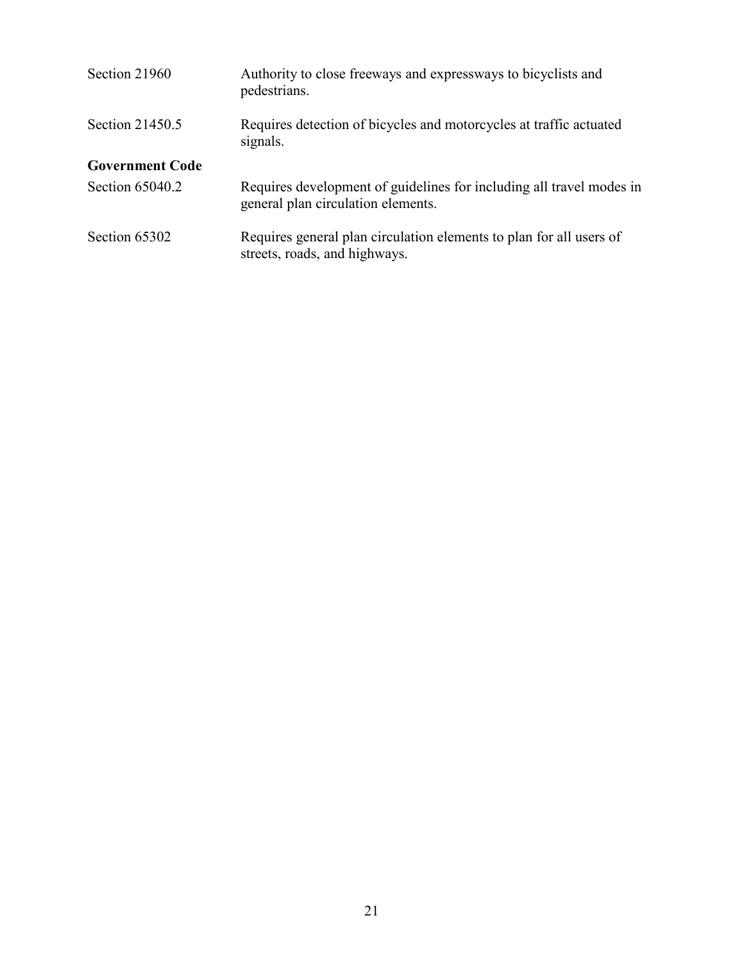<span id="page-24-0"></span>

| Section 21960          | Authority to close freeways and expressways to bicyclists and<br>pedestrians.                              |
|------------------------|------------------------------------------------------------------------------------------------------------|
| Section 21450.5        | Requires detection of bicycles and motorcycles at traffic actuated<br>signals.                             |
| <b>Government Code</b> |                                                                                                            |
| Section 65040.2        | Requires development of guidelines for including all travel modes in<br>general plan circulation elements. |
| Section 65302          | Requires general plan circulation elements to plan for all users of<br>streets, roads, and highways.       |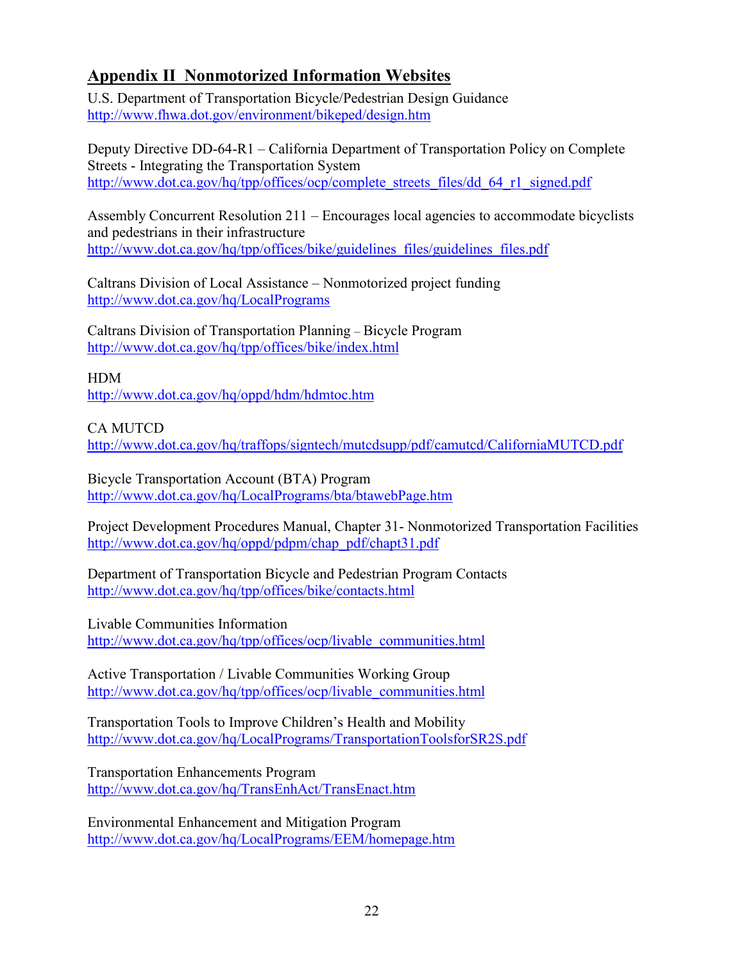# <span id="page-25-0"></span> **Appendix II Nonmotorized Information Websites**

U.S. Department of Transportation Bicycle/Pedestrian Design Guidance <http://www.fhwa.dot.gov/environment/bikeped/design.htm>

Deputy Directive DD-64-R1 – California Department of Transportation Policy on Complete Streets - Integrating the Transportation System http://www.dot.ca.gov/hq/tpp/offices/ocp/complete\_streets\_files/dd\_64\_r1\_signed.pdf

Assembly Concurrent Resolution 211 – Encourages local agencies to accommodate bicyclists and pedestrians in their infrastructure [http://www.dot.ca.gov/hq/tpp/offices/bike/guidelines\\_files/guidelines\\_files.pdf](http://www.dot.ca.gov/hq/tpp/offices/bike/guidelines_files/guidelines_files.pdf) 

Caltrans Division of Local Assistance – Nonmotorized project funding <http://www.dot.ca.gov/hq/LocalPrograms>

Caltrans Division of Transportation Planning – Bicycle Program <http://www.dot.ca.gov/hq/tpp/offices/bike/index.html>

HDM <http://www.dot.ca.gov/hq/oppd/hdm/hdmtoc.htm>

CA MUTCD

<http://www.dot.ca.gov/hq/traffops/signtech/mutcdsupp/pdf/camutcd/CaliforniaMUTCD.pdf>

Bicycle Transportation Account (BTA) Program <http://www.dot.ca.gov/hq/LocalPrograms/bta/btawebPage.htm>

Project Development Procedures Manual, Chapter 31- Nonmotorized Transportation Facilities [http://www.dot.ca.gov/hq/oppd/pdpm/chap\\_pdf/chapt31.pdf](http://www.dot.ca.gov/hq/oppd/pdpm/chap_pdf/chapt31.pdf) 

Department of Transportation Bicycle and Pedestrian Program Contacts <http://www.dot.ca.gov/hq/tpp/offices/bike/contacts.html>

Livable Communities Information [http://www.dot.ca.gov/hq/tpp/offices/ocp/livable\\_communities.html](http://www.dot.ca.gov/hq/tpp/offices/ocp/livable_communities.html) 

Active Transportation / Livable Communities Working Group [http://www.dot.ca.gov/hq/tpp/offices/ocp/livable\\_communities.html](http://www.dot.ca.gov/hq/tpp/offices/ocp/livable_communities.html) 

Transportation Tools to Improve Children's Health and Mobility <http://www.dot.ca.gov/hq/LocalPrograms/TransportationToolsforSR2S.pdf>

 Transportation Enhancements Program <http://www.dot.ca.gov/hq/TransEnhAct/TransEnact.htm>

Environmental Enhancement and Mitigation Program <http://www.dot.ca.gov/hq/LocalPrograms/EEM/homepage.htm>